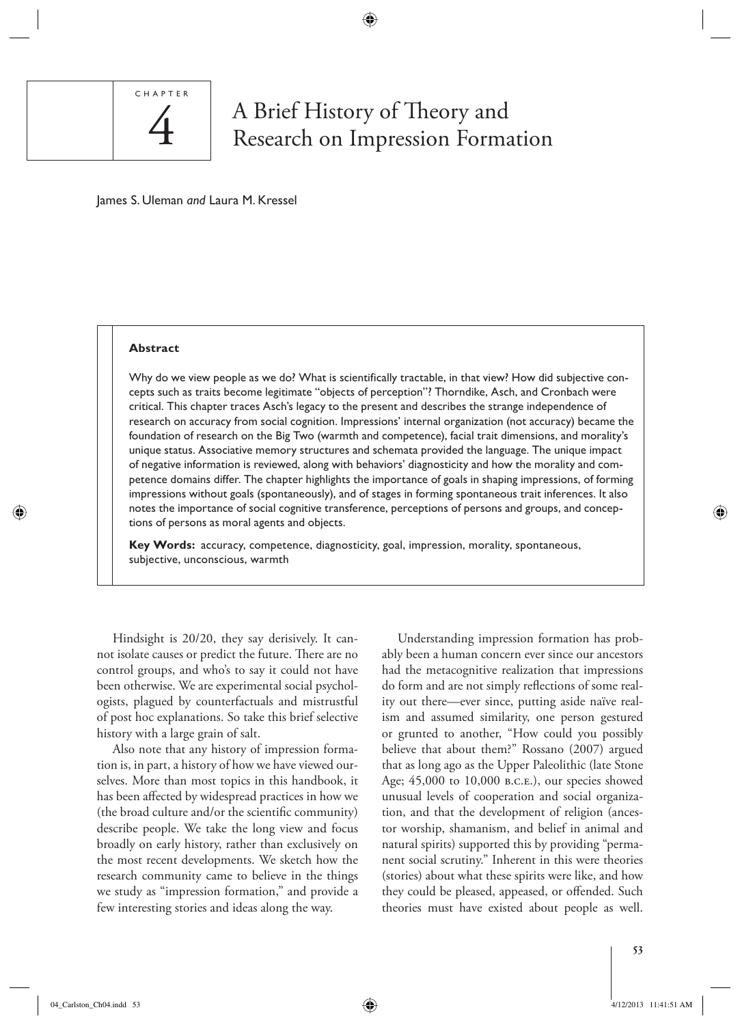

# A Brief History of Theory and<br>Research on Impression Formation

◈

James S. Uleman *and* Laura M. Kressel

#### **Abstract**

Why do we view people as we do? What is scientifically tractable, in that view? How did subjective concepts such as traits become legitimate "objects of perception"? Thorndike, Asch, and Cronbach were critical. This chapter traces Asch's legacy to the present and describes the strange independence of research on accuracy from social cognition. Impressions' internal organization (not accuracy) became the foundation of research on the Big Two (warmth and competence), facial trait dimensions, and morality's unique status. Associative memory structures and schemata provided the language. The unique impact of negative information is reviewed, along with behaviors' diagnosticity and how the morality and competence domains differ. The chapter highlights the importance of goals in shaping impressions, of forming impressions without goals (spontaneously), and of stages in forming spontaneous trait inferences. It also notes the importance of social cognitive transference, perceptions of persons and groups, and conceptions of persons as moral agents and objects.

**Key Words:** accuracy, competence, diagnosticity, goal, impression, morality, spontaneous, subjective, unconscious, warmth

 Hindsight is 20/20, they say derisively. It cannot isolate causes or predict the future. There are no control groups, and who's to say it could not have been otherwise. We are experimental social psychologists, plagued by counterfactuals and mistrustful of post hoc explanations. So take this brief selective history with a large grain of salt.

 Also note that any history of impression formation is, in part, a history of how we have viewed ourselves. More than most topics in this handbook, it has been affected by widespread practices in how we (the broad culture and/or the scientific community) describe people. We take the long view and focus broadly on early history, rather than exclusively on the most recent developments. We sketch how the research community came to believe in the things we study as "impression formation," and provide a few interesting stories and ideas along the way.

 Understanding impression formation has probably been a human concern ever since our ancestors had the metacognitive realization that impressions do form and are not simply reflections of some reality out there—ever since, putting aside naïve realism and assumed similarity, one person gestured or grunted to another, "How could you possibly believe that about them?" Rossano (2007) argued that as long ago as the Upper Paleolithic (late Stone Age; 45,000 to 10,000 B.C.E.), our species showed unusual levels of cooperation and social organization, and that the development of religion (ancestor worship, shamanism, and belief in animal and natural spirits) supported this by providing "permanent social scrutiny." Inherent in this were theories (stories) about what these spirits were like, and how they could be pleased, appeased, or offended. Such theories must have existed about people as well.

⊕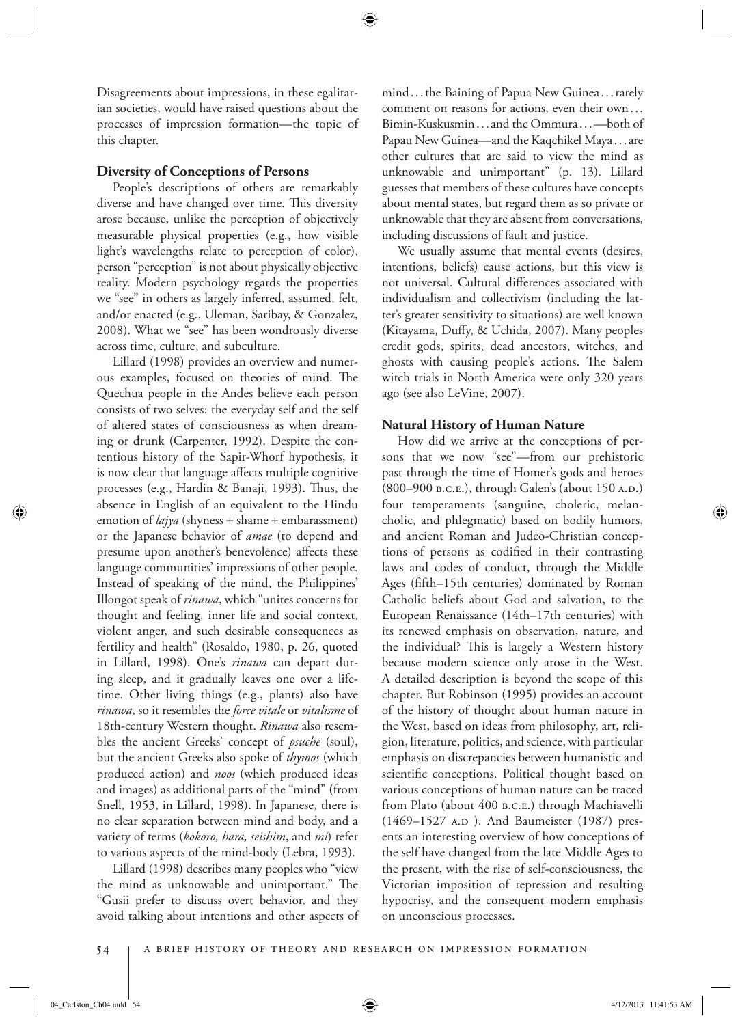Disagreements about impressions, in these egalitarian societies, would have raised questions about the processes of impression formation—the topic of this chapter.

# **Diversity of Conceptions of Persons**

 People's descriptions of others are remarkably diverse and have changed over time. This diversity arose because, unlike the perception of objectively measurable physical properties (e.g., how visible light's wavelengths relate to perception of color), person "perception" is not about physically objective reality. Modern psychology regards the properties we "see" in others as largely inferred, assumed, felt, and/or enacted (e.g., Uleman, Saribay, & Gonzalez, 2008). What we "see" has been wondrously diverse across time, culture, and subculture.

 Lillard (1998) provides an overview and numerous examples, focused on theories of mind. The Quechua people in the Andes believe each person consists of two selves: the everyday self and the self of altered states of consciousness as when dreaming or drunk (Carpenter, 1992). Despite the contentious history of the Sapir-Whorf hypothesis, it is now clear that language affects multiple cognitive processes (e.g., Hardin & Banaji, 1993). Thus, the absence in English of an equivalent to the Hindu emotion of *lajya* (shyness + shame + embarassment) or the Japanese behavior of *amae* (to depend and presume upon another's benevolence) affects these language communities' impressions of other people. Instead of speaking of the mind, the Philippines' Illongot speak of *rinawa* , which "unites concerns for thought and feeling, inner life and social context, violent anger, and such desirable consequences as fertility and health" (Rosaldo, 1980, p. 26, quoted in Lillard, 1998). One's *rinawa* can depart during sleep, and it gradually leaves one over a lifetime. Other living things (e.g., plants) also have *rinawa* , so it resembles the *force vitale* or *vitalisme* of 18th-century Western thought. *Rinawa* also resembles the ancient Greeks' concept of *psuche* (soul), but the ancient Greeks also spoke of *thymos* (which produced action) and *noos* (which produced ideas and images) as additional parts of the "mind" (from Snell, 1953, in Lillard, 1998). In Japanese, there is no clear separation between mind and body, and a variety of terms (kokoro, hara, seishim, and mi) refer to various aspects of the mind-body (Lebra, 1993).

 Lillard (1998) describes many peoples who "view the mind as unknowable and unimportant." The "Gusii prefer to discuss overt behavior, and they avoid talking about intentions and other aspects of mind . . . the Baining of Papua New Guinea . . . rarely comment on reasons for actions, even their own . . . Bimin-Kuskusmin . . . and the Ommura . . . —both of Papau New Guinea—and the Kaqchikel Maya . . . are other cultures that are said to view the mind as unknowable and unimportant" (p. 13). Lillard guesses that members of these cultures have concepts about mental states, but regard them as so private or unknowable that they are absent from conversations, including discussions of fault and justice.

 We usually assume that mental events (desires, intentions, beliefs) cause actions, but this view is not universal. Cultural differences associated with individualism and collectivism (including the latter's greater sensitivity to situations) are well known (Kitayama, Duffy, & Uchida, 2007). Many peoples credit gods, spirits, dead ancestors, witches, and ghosts with causing people's actions. The Salem witch trials in North America were only 320 years ago (see also LeVine, 2007).

#### **Natural History of Human Nature**

 How did we arrive at the conceptions of persons that we now "see"—from our prehistoric past through the time of Homer's gods and heroes (800–900 b.c.e.), through Galen's (about 150 A.D.) four temperaments (sanguine, choleric, melancholic, and phlegmatic) based on bodily humors, and ancient Roman and Judeo-Christian conceptions of persons as codified in their contrasting laws and codes of conduct, through the Middle Ages (fifth–15th centuries) dominated by Roman Catholic beliefs about God and salvation, to the European Renaissance (14th–17th centuries) with its renewed emphasis on observation, nature, and the individual? This is largely a Western history because modern science only arose in the West. A detailed description is beyond the scope of this chapter. But Robinson (1995) provides an account of the history of thought about human nature in the West, based on ideas from philosophy, art, religion, literature, politics, and science, with particular emphasis on discrepancies between humanistic and scientific conceptions. Political thought based on various conceptions of human nature can be traced from Plato (about 400 B.C.E.) through Machiavelli (1469–1527 A.D ). And Baumeister (1987) presents an interesting overview of how conceptions of the self have changed from the late Middle Ages to the present, with the rise of self-consciousness, the Victorian imposition of repression and resulting hypocrisy, and the consequent modern emphasis on unconscious processes.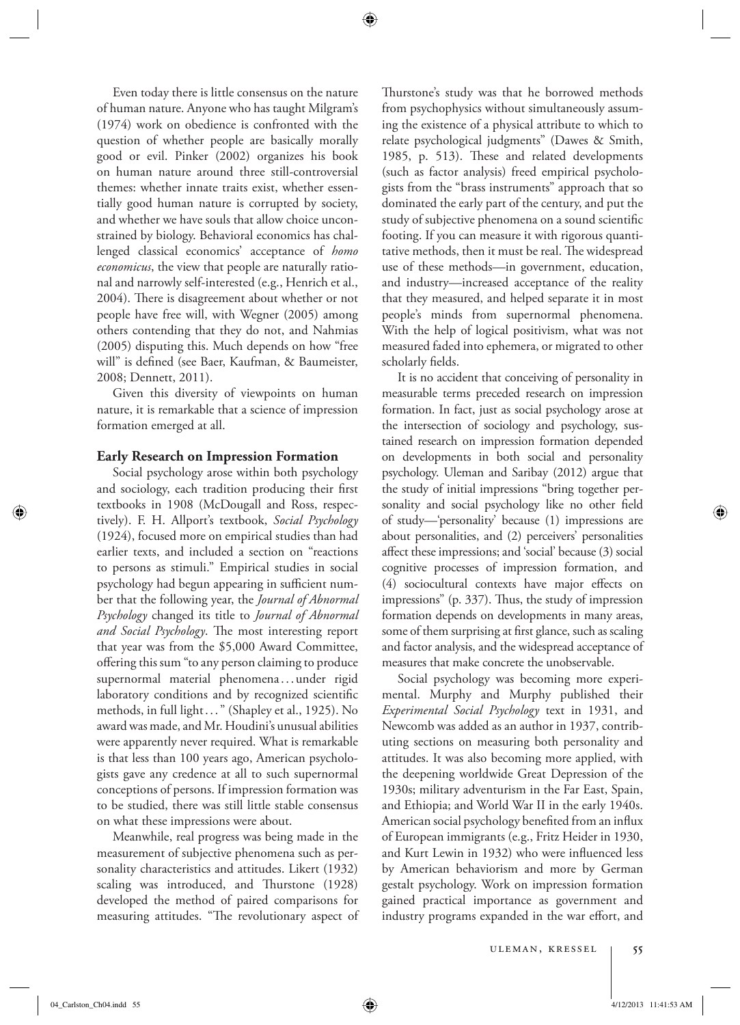Even today there is little consensus on the nature of human nature. Anyone who has taught Milgram's (1974) work on obedience is confronted with the question of whether people are basically morally good or evil. Pinker (2002) organizes his book on human nature around three still-controversial themes: whether innate traits exist, whether essentially good human nature is corrupted by society, and whether we have souls that allow choice unconstrained by biology. Behavioral economics has challenged classical economics' acceptance of *homo economicus* , the view that people are naturally rational and narrowly self-interested (e.g., Henrich et al., 2004). There is disagreement about whether or not people have free will, with Wegner (2005) among others contending that they do not, and Nahmias (2005) disputing this. Much depends on how "free will" is defined (see Baer, Kaufman, & Baumeister, 2008; Dennett, 2011).

 Given this diversity of viewpoints on human nature, it is remarkable that a science of impression formation emerged at all.

#### **Early Research on Impression Formation**

 Social psychology arose within both psychology and sociology, each tradition producing their first textbooks in 1908 (McDougall and Ross, respectively). F. H. Allport's textbook, *Social Psychology* (1924), focused more on empirical studies than had earlier texts, and included a section on "reactions to persons as stimuli." Empirical studies in social psychology had begun appearing in sufficient number that the following year, the *Journal of Abnormal Psychology* changed its title to *Journal of Abnormal*  and Social Psychology. The most interesting report that year was from the \$5,000 Award Committee, offering this sum "to any person claiming to produce supernormal material phenomena . . . under rigid laboratory conditions and by recognized scientific methods, in full light . . . " (Shapley et al., 1925). No award was made, and Mr. Houdini's unusual abilities were apparently never required. What is remarkable is that less than 100 years ago, American psychologists gave any credence at all to such supernormal conceptions of persons. If impression formation was to be studied, there was still little stable consensus on what these impressions were about.

 Meanwhile, real progress was being made in the measurement of subjective phenomena such as personality characteristics and attitudes. Likert (1932) scaling was introduced, and Thurstone (1928) developed the method of paired comparisons for measuring attitudes. "The revolutionary aspect of Thurstone's study was that he borrowed methods from psychophysics without simultaneously assuming the existence of a physical attribute to which to relate psychological judgments" (Dawes & Smith, 1985, p. 513). These and related developments (such as factor analysis) freed empirical psychologists from the "brass instruments" approach that so dominated the early part of the century, and put the study of subjective phenomena on a sound scientific footing. If you can measure it with rigorous quantitative methods, then it must be real. The widespread use of these methods—in government, education, and industry—increased acceptance of the reality that they measured, and helped separate it in most people's minds from supernormal phenomena. With the help of logical positivism, what was not measured faded into ephemera, or migrated to other scholarly fields.

 It is no accident that conceiving of personality in measurable terms preceded research on impression formation. In fact, just as social psychology arose at the intersection of sociology and psychology, sustained research on impression formation depended on developments in both social and personality psychology. Uleman and Saribay (2012) argue that the study of initial impressions "bring together personality and social psychology like no other field of study—'personality' because (1) impressions are about personalities, and (2) perceivers' personalities affect these impressions; and 'social' because (3) social cognitive processes of impression formation, and (4) sociocultural contexts have major effects on impressions" (p. 337). Thus, the study of impression formation depends on developments in many areas, some of them surprising at first glance, such as scaling and factor analysis, and the widespread acceptance of measures that make concrete the unobservable.

 Social psychology was becoming more experimental. Murphy and Murphy published their *Experimental Social Psychology* text in 1931, and Newcomb was added as an author in 1937, contributing sections on measuring both personality and attitudes. It was also becoming more applied, with the deepening worldwide Great Depression of the 1930s; military adventurism in the Far East, Spain, and Ethiopia; and World War II in the early 1940s. American social psychology benefited from an influx of European immigrants (e.g., Fritz Heider in 1930, and Kurt Lewin in 1932) who were influenced less by American behaviorism and more by German gestalt psychology. Work on impression formation gained practical importance as government and industry programs expanded in the war effort, and

04\_Carlston\_Ch04.indd 55 4/12/2013 11:41:53 AM  $\bigoplus$ 

⊕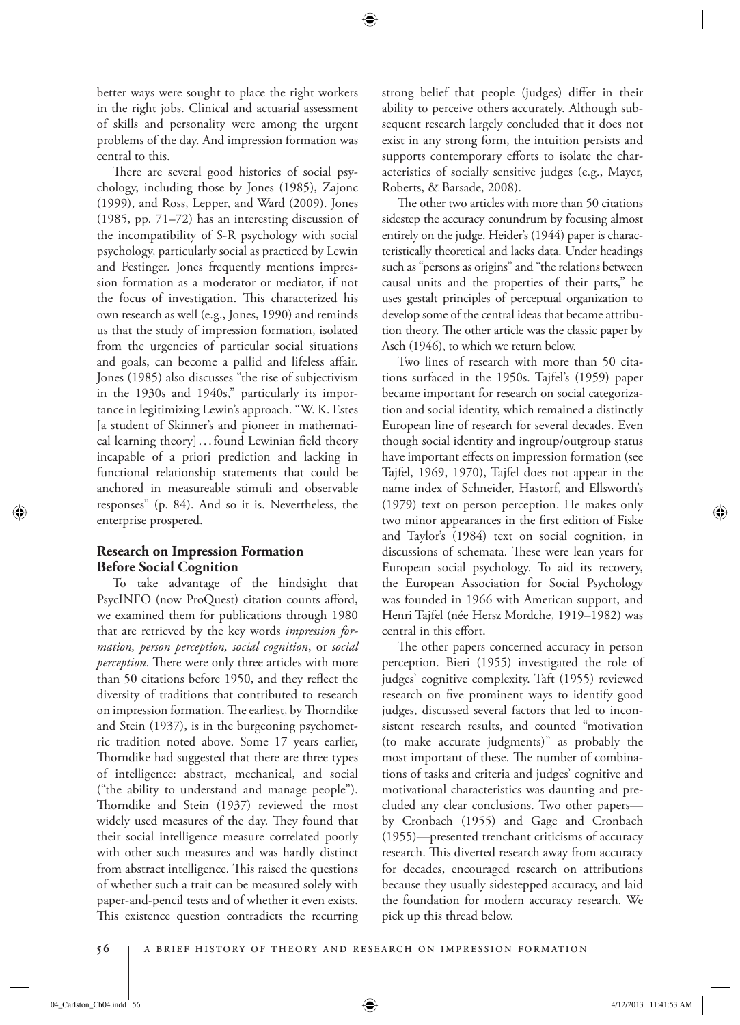better ways were sought to place the right workers in the right jobs. Clinical and actuarial assessment of skills and personality were among the urgent problems of the day. And impression formation was central to this.

There are several good histories of social psychology, including those by Jones (1985), Zajonc (1999), and Ross, Lepper, and Ward (2009). Jones (1985, pp. 71–72) has an interesting discussion of the incompatibility of S-R psychology with social psychology, particularly social as practiced by Lewin and Festinger. Jones frequently mentions impression formation as a moderator or mediator, if not the focus of investigation. This characterized his own research as well (e.g., Jones, 1990) and reminds us that the study of impression formation, isolated from the urgencies of particular social situations and goals, can become a pallid and lifeless affair. Jones (1985) also discusses "the rise of subjectivism in the 1930s and 1940s," particularly its importance in legitimizing Lewin's approach. "W. K. Estes [a student of Skinner's and pioneer in mathematical learning theory]...found Lewinian field theory incapable of a priori prediction and lacking in functional relationship statements that could be anchored in measureable stimuli and observable responses" (p. 84). And so it is. Nevertheless, the enterprise prospered.

# **Research on Impression Formation Before Social Cognition**

 To take advantage of the hindsight that PsycINFO (now ProQuest) citation counts afford, we examined them for publications through 1980 that are retrieved by the key words *impression formation, person perception, social cognition* , or *social perception*. There were only three articles with more than 50 citations before 1950, and they reflect the diversity of traditions that contributed to research on impression formation. The earliest, by Thorndike and Stein (1937), is in the burgeoning psychometric tradition noted above. Some 17 years earlier, Thorndike had suggested that there are three types of intelligence: abstract, mechanical, and social ("the ability to understand and manage people"). Thorndike and Stein (1937) reviewed the most widely used measures of the day. They found that their social intelligence measure correlated poorly with other such measures and was hardly distinct from abstract intelligence. This raised the questions of whether such a trait can be measured solely with paper-and-pencil tests and of whether it even exists. This existence question contradicts the recurring strong belief that people (judges) differ in their ability to perceive others accurately. Although subsequent research largely concluded that it does not exist in any strong form, the intuition persists and supports contemporary efforts to isolate the characteristics of socially sensitive judges (e.g., Mayer, Roberts, & Barsade, 2008).

The other two articles with more than 50 citations sidestep the accuracy conundrum by focusing almost entirely on the judge. Heider's (1944) paper is characteristically theoretical and lacks data. Under headings such as "persons as origins" and "the relations between causal units and the properties of their parts," he uses gestalt principles of perceptual organization to develop some of the central ideas that became attribution theory. The other article was the classic paper by Asch (1946), to which we return below.

 Two lines of research with more than 50 citations surfaced in the 1950s. Tajfel's (1959) paper became important for research on social categorization and social identity, which remained a distinctly European line of research for several decades. Even though social identity and ingroup/outgroup status have important effects on impression formation (see Tajfel, 1969, 1970), Tajfel does not appear in the name index of Schneider, Hastorf, and Ellsworth's (1979) text on person perception. He makes only two minor appearances in the first edition of Fiske and Taylor's (1984) text on social cognition, in discussions of schemata. These were lean years for European social psychology. To aid its recovery, the European Association for Social Psychology was founded in 1966 with American support, and Henri Tajfel (née Hersz Mordche, 1919–1982) was central in this effort.

The other papers concerned accuracy in person perception. Bieri (1955) investigated the role of judges' cognitive complexity. Taft (1955) reviewed research on five prominent ways to identify good judges, discussed several factors that led to inconsistent research results, and counted "motivation (to make accurate judgments)" as probably the most important of these. The number of combinations of tasks and criteria and judges' cognitive and motivational characteristics was daunting and precluded any clear conclusions. Two other papers by Cronbach (1955) and Gage and Cronbach (1955)—presented trenchant criticisms of accuracy research. This diverted research away from accuracy for decades, encouraged research on attributions because they usually sidestepped accuracy, and laid the foundation for modern accuracy research. We pick up this thread below.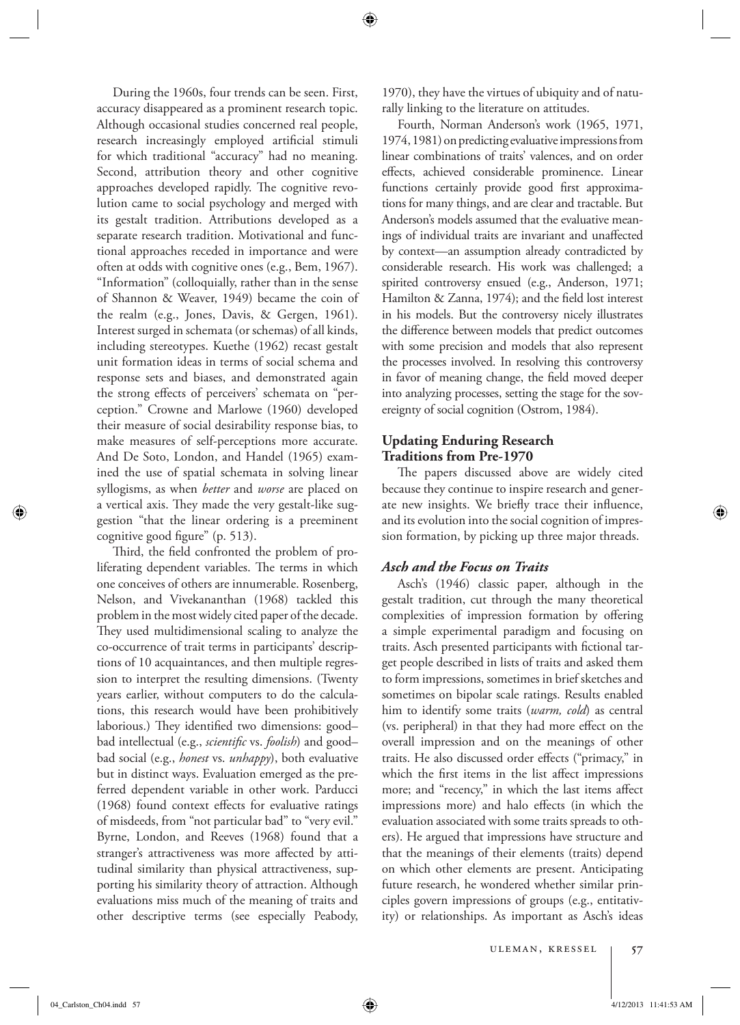During the 1960s, four trends can be seen. First, accuracy disappeared as a prominent research topic. Although occasional studies concerned real people, research increasingly employed artificial stimuli for which traditional "accuracy" had no meaning. Second, attribution theory and other cognitive approaches developed rapidly. The cognitive revolution came to social psychology and merged with its gestalt tradition. Attributions developed as a separate research tradition. Motivational and functional approaches receded in importance and were often at odds with cognitive ones (e.g., Bem, 1967). "Information" (colloquially, rather than in the sense of Shannon & Weaver, 1949) became the coin of the realm (e.g., Jones, Davis, & Gergen, 1961). Interest surged in schemata (or schemas) of all kinds, including stereotypes. Kuethe (1962) recast gestalt unit formation ideas in terms of social schema and response sets and biases, and demonstrated again the strong effects of perceivers' schemata on "perception." Crowne and Marlowe (1960) developed their measure of social desirability response bias, to make measures of self-perceptions more accurate. And De Soto, London, and Handel (1965) examined the use of spatial schemata in solving linear syllogisms, as when *better* and *worse* are placed on a vertical axis. They made the very gestalt-like suggestion "that the linear ordering is a preeminent cognitive good figure" (p. 513).

Third, the field confronted the problem of proliferating dependent variables. The terms in which one conceives of others are innumerable. Rosenberg, Nelson, and Vivekananthan (1968) tackled this problem in the most widely cited paper of the decade. They used multidimensional scaling to analyze the co-occurrence of trait terms in participants' descriptions of 10 acquaintances, and then multiple regression to interpret the resulting dimensions. (Twenty years earlier, without computers to do the calculations, this research would have been prohibitively laborious.) They identified two dimensions: good– bad intellectual (e.g., *scientific* vs. *foolish*) and goodbad social (e.g., *honest* vs. *unhappy*), both evaluative but in distinct ways. Evaluation emerged as the preferred dependent variable in other work. Parducci  $(1968)$  found context effects for evaluative ratings of misdeeds, from "not particular bad" to "very evil." Byrne, London, and Reeves (1968) found that a stranger's attractiveness was more affected by attitudinal similarity than physical attractiveness, supporting his similarity theory of attraction. Although evaluations miss much of the meaning of traits and other descriptive terms (see especially Peabody, 1970), they have the virtues of ubiquity and of naturally linking to the literature on attitudes.

 Fourth, Norman Anderson's work (1965, 1971, 1974, 1981) on predicting evaluative impressions from linear combinations of traits' valences, and on order effects, achieved considerable prominence. Linear functions certainly provide good first approximations for many things, and are clear and tractable. But Anderson's models assumed that the evaluative meanings of individual traits are invariant and unaffected by context—an assumption already contradicted by considerable research. His work was challenged; a spirited controversy ensued (e.g., Anderson, 1971; Hamilton & Zanna, 1974); and the field lost interest in his models. But the controversy nicely illustrates the difference between models that predict outcomes with some precision and models that also represent the processes involved. In resolving this controversy in favor of meaning change, the field moved deeper into analyzing processes, setting the stage for the sovereignty of social cognition (Ostrom, 1984).

# **Updating Enduring Research Traditions from Pre-1970**

The papers discussed above are widely cited because they continue to inspire research and generate new insights. We briefly trace their influence, and its evolution into the social cognition of impression formation, by picking up three major threads.

# *Asch and the Focus on Traits*

 Asch's (1946) classic paper, although in the gestalt tradition, cut through the many theoretical complexities of impression formation by offering a simple experimental paradigm and focusing on traits. Asch presented participants with fictional target people described in lists of traits and asked them to form impressions, sometimes in brief sketches and sometimes on bipolar scale ratings. Results enabled him to identify some traits (*warm, cold*) as central (vs. peripheral) in that they had more effect on the overall impression and on the meanings of other traits. He also discussed order effects ("primacy," in which the first items in the list affect impressions more; and "recency," in which the last items affect impressions more) and halo effects (in which the evaluation associated with some traits spreads to others). He argued that impressions have structure and that the meanings of their elements (traits) depend on which other elements are present. Anticipating future research, he wondered whether similar principles govern impressions of groups (e.g., entitativity) or relationships. As important as Asch's ideas

Uleman, Kressel **57**

04\_Carlston\_Ch04.indd 57 4/12/2013 11:41:53 AM  $\bigoplus$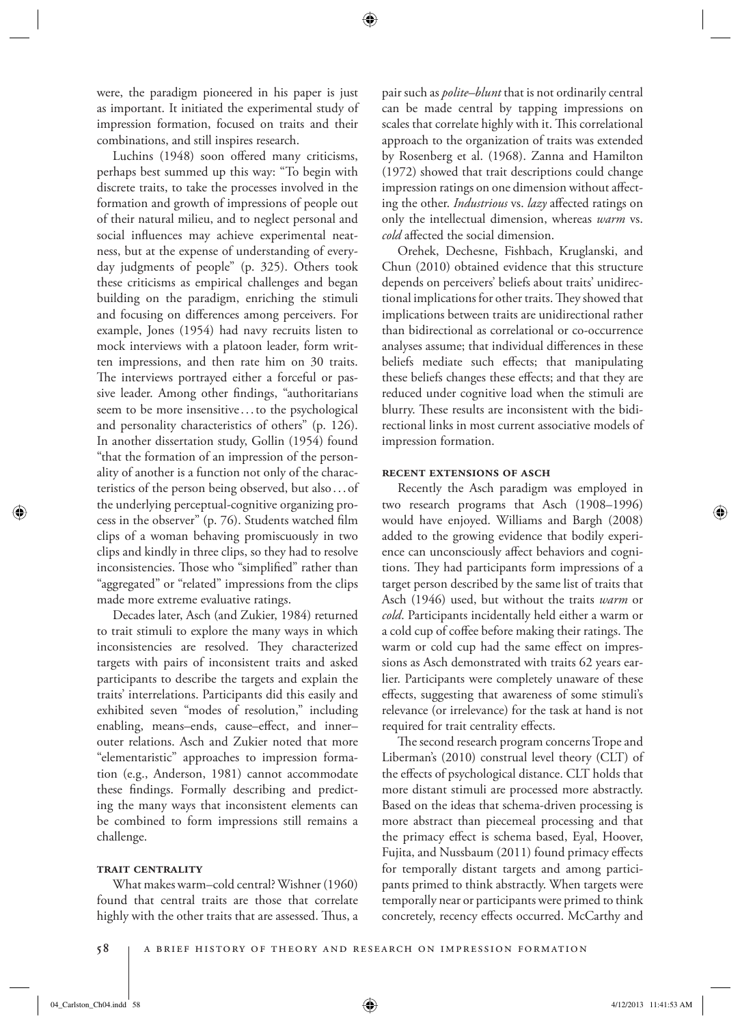were, the paradigm pioneered in his paper is just as important. It initiated the experimental study of impression formation, focused on traits and their combinations, and still inspires research.

Luchins (1948) soon offered many criticisms, perhaps best summed up this way: "To begin with discrete traits, to take the processes involved in the formation and growth of impressions of people out of their natural milieu, and to neglect personal and social influences may achieve experimental neatness, but at the expense of understanding of everyday judgments of people" (p. 325). Others took these criticisms as empirical challenges and began building on the paradigm, enriching the stimuli and focusing on differences among perceivers. For example, Jones (1954) had navy recruits listen to mock interviews with a platoon leader, form written impressions, and then rate him on 30 traits. The interviews portrayed either a forceful or passive leader. Among other findings, "authoritarians seem to be more insensitive . . . to the psychological and personality characteristics of others" (p. 126). In another dissertation study, Gollin (1954) found "that the formation of an impression of the personality of another is a function not only of the characteristics of the person being observed, but also . . . of the underlying perceptual-cognitive organizing process in the observer" (p. 76). Students watched film clips of a woman behaving promiscuously in two clips and kindly in three clips, so they had to resolve inconsistencies. Those who "simplified" rather than "aggregated" or "related" impressions from the clips made more extreme evaluative ratings.

 Decades later, Asch (and Zukier, 1984) returned to trait stimuli to explore the many ways in which inconsistencies are resolved. They characterized targets with pairs of inconsistent traits and asked participants to describe the targets and explain the traits' interrelations. Participants did this easily and exhibited seven "modes of resolution," including enabling, means-ends, cause-effect, and innerouter relations. Asch and Zukier noted that more "elementaristic" approaches to impression formation (e.g., Anderson, 1981) cannot accommodate these findings. Formally describing and predicting the many ways that inconsistent elements can be combined to form impressions still remains a challenge.

# **trait centrality**

 What makes warm–cold central? Wishner (1960) found that central traits are those that correlate highly with the other traits that are assessed. Thus, a

pair such as *polite–blunt* that is not ordinarily central can be made central by tapping impressions on scales that correlate highly with it. This correlational approach to the organization of traits was extended by Rosenberg et al. (1968). Zanna and Hamilton (1972) showed that trait descriptions could change impression ratings on one dimension without affecting the other. *Industrious* vs. *lazy* affected ratings on only the intellectual dimension, whereas *warm* vs. *cold* affected the social dimension.

 Orehek, Dechesne, Fishbach, Kruglanski, and Chun (2010) obtained evidence that this structure depends on perceivers' beliefs about traits' unidirectional implications for other traits. They showed that implications between traits are unidirectional rather than bidirectional as correlational or co-occurrence analyses assume; that individual differences in these beliefs mediate such effects; that manipulating these beliefs changes these effects; and that they are reduced under cognitive load when the stimuli are blurry. These results are inconsistent with the bidirectional links in most current associative models of impression formation.

#### **recent extensions of asch**

 Recently the Asch paradigm was employed in two research programs that Asch (1908–1996) would have enjoyed. Williams and Bargh (2008) added to the growing evidence that bodily experience can unconsciously affect behaviors and cognitions. They had participants form impressions of a target person described by the same list of traits that Asch (1946) used, but without the traits *warm* or cold. Participants incidentally held either a warm or a cold cup of coffee before making their ratings. The warm or cold cup had the same effect on impressions as Asch demonstrated with traits 62 years earlier. Participants were completely unaware of these effects, suggesting that awareness of some stimuli's relevance (or irrelevance) for the task at hand is not required for trait centrality effects.

The second research program concerns Trope and Liberman's (2010) construal level theory (CLT) of the effects of psychological distance. CLT holds that more distant stimuli are processed more abstractly. Based on the ideas that schema-driven processing is more abstract than piecemeal processing and that the primacy effect is schema based, Eyal, Hoover, Fujita, and Nussbaum (2011) found primacy effects for temporally distant targets and among participants primed to think abstractly. When targets were temporally near or participants were primed to think concretely, recency effects occurred. McCarthy and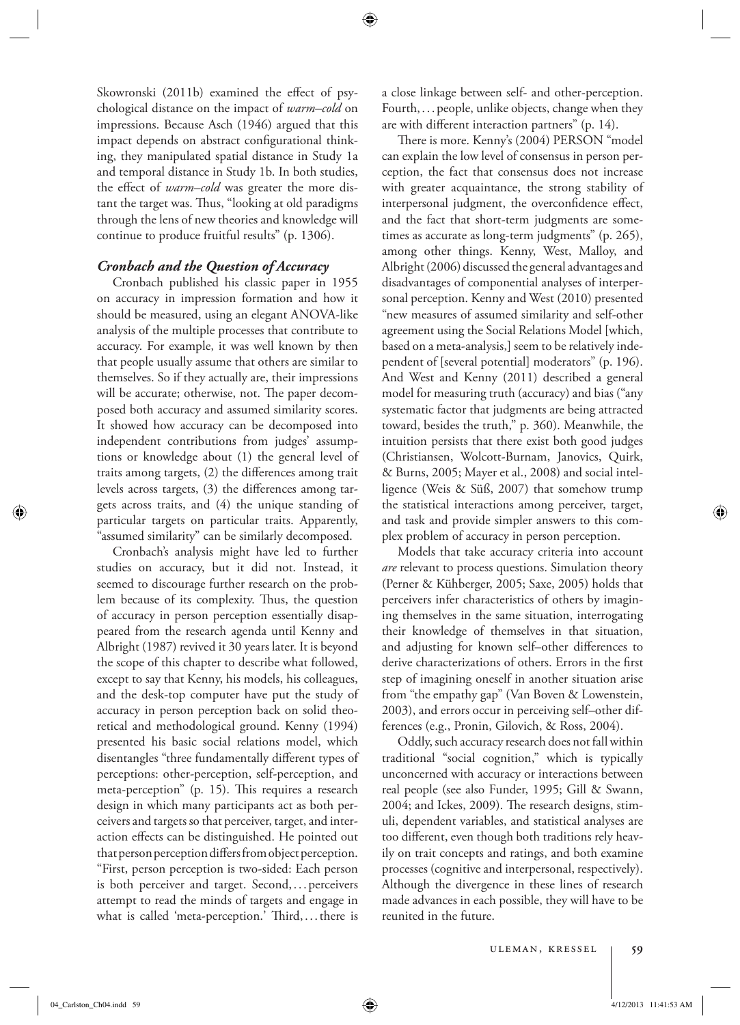Skowronski (2011b) examined the effect of psychological distance on the impact of *warm–cold* on impressions. Because Asch (1946) argued that this impact depends on abstract configurational thinking, they manipulated spatial distance in Study 1a and temporal distance in Study 1b. In both studies, the effect of *warm–cold* was greater the more distant the target was. Thus, "looking at old paradigms through the lens of new theories and knowledge will continue to produce fruitful results" (p. 1306).

# *Cronbach and the Question of Accuracy*

 Cronbach published his classic paper in 1955 on accuracy in impression formation and how it should be measured, using an elegant ANOVA-like analysis of the multiple processes that contribute to accuracy. For example, it was well known by then that people usually assume that others are similar to themselves. So if they actually are, their impressions will be accurate; otherwise, not. The paper decomposed both accuracy and assumed similarity scores. It showed how accuracy can be decomposed into independent contributions from judges' assumptions or knowledge about (1) the general level of traits among targets, (2) the differences among trait levels across targets, (3) the differences among targets across traits, and (4) the unique standing of particular targets on particular traits. Apparently, "assumed similarity" can be similarly decomposed.

 Cronbach's analysis might have led to further studies on accuracy, but it did not. Instead, it seemed to discourage further research on the problem because of its complexity. Thus, the question of accuracy in person perception essentially disappeared from the research agenda until Kenny and Albright (1987) revived it 30 years later. It is beyond the scope of this chapter to describe what followed, except to say that Kenny, his models, his colleagues, and the desk-top computer have put the study of accuracy in person perception back on solid theoretical and methodological ground. Kenny (1994) presented his basic social relations model, which disentangles "three fundamentally different types of perceptions: other-perception, self-perception, and meta-perception" (p. 15). This requires a research design in which many participants act as both perceivers and targets so that perceiver, target, and interaction effects can be distinguished. He pointed out that person perception differs from object perception. "First, person perception is two-sided: Each person is both perceiver and target. Second,... perceivers attempt to read the minds of targets and engage in what is called 'meta-perception.' Third,...there is a close linkage between self- and other-perception. Fourth, . . . people, unlike objects, change when they are with different interaction partners"  $(p. 14)$ .

There is more. Kenny's (2004) PERSON "model can explain the low level of consensus in person perception, the fact that consensus does not increase with greater acquaintance, the strong stability of interpersonal judgment, the overconfidence effect, and the fact that short-term judgments are sometimes as accurate as long-term judgments" (p. 265), among other things. Kenny, West, Malloy, and Albright (2006) discussed the general advantages and disadvantages of componential analyses of interpersonal perception. Kenny and West (2010) presented "new measures of assumed similarity and self-other agreement using the Social Relations Model [which, based on a meta-analysis,] seem to be relatively independent of [several potential] moderators" (p. 196). And West and Kenny (2011) described a general model for measuring truth (accuracy) and bias ("any systematic factor that judgments are being attracted toward, besides the truth," p. 360). Meanwhile, the intuition persists that there exist both good judges (Christiansen, Wolcott-Burnam, Janovics, Quirk, & Burns, 2005; Mayer et al., 2008) and social intelligence (Weis & Süß, 2007) that somehow trump the statistical interactions among perceiver, target, and task and provide simpler answers to this complex problem of accuracy in person perception.

 Models that take accuracy criteria into account *are* relevant to process questions. Simulation theory (Perner & Kühberger, 2005; Saxe, 2005) holds that perceivers infer characteristics of others by imagining themselves in the same situation, interrogating their knowledge of themselves in that situation, and adjusting for known self-other differences to derive characterizations of others. Errors in the first step of imagining oneself in another situation arise from "the empathy gap" (Van Boven & Lowenstein, 2003), and errors occur in perceiving self–other differences (e.g., Pronin, Gilovich, & Ross, 2004).

 Oddly, such accuracy research does not fall within traditional "social cognition," which is typically unconcerned with accuracy or interactions between real people (see also Funder, 1995; Gill & Swann, 2004; and Ickes, 2009). The research designs, stimuli, dependent variables, and statistical analyses are too different, even though both traditions rely heavily on trait concepts and ratings, and both examine processes (cognitive and interpersonal, respectively). Although the divergence in these lines of research made advances in each possible, they will have to be reunited in the future.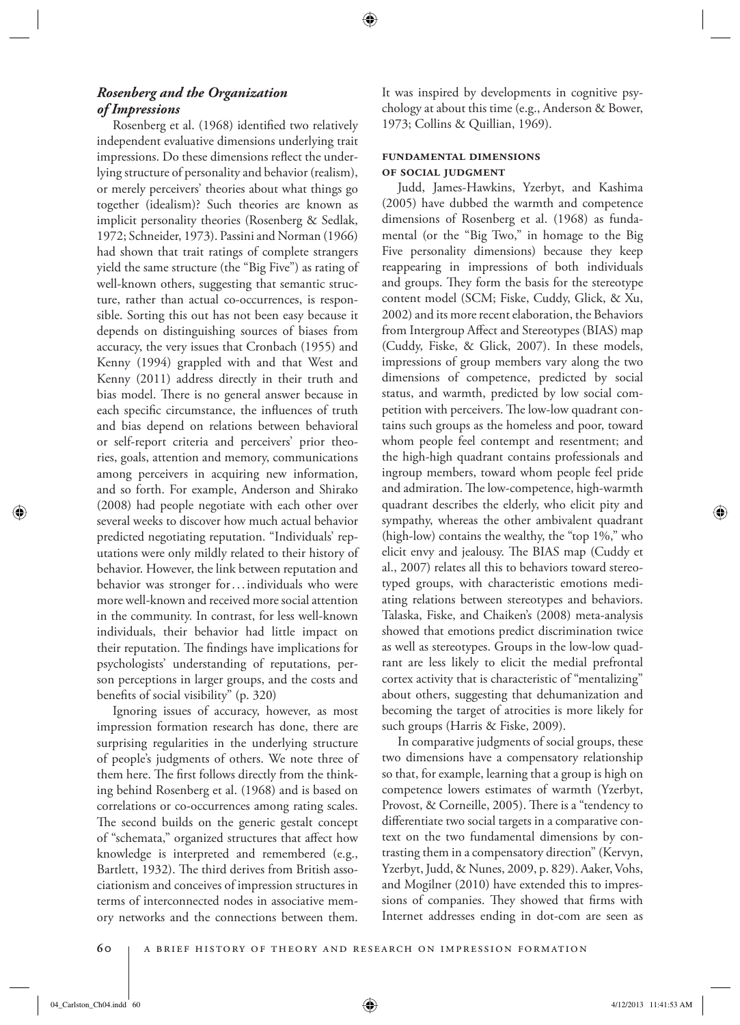# *Rosenberg and the Organization of Impressions*

Rosenberg et al. (1968) identified two relatively independent evaluative dimensions underlying trait impressions. Do these dimensions reflect the underlying structure of personality and behavior (realism), or merely perceivers' theories about what things go together (idealism)? Such theories are known as implicit personality theories (Rosenberg & Sedlak, 1972; Schneider, 1973). Passini and Norman (1966) had shown that trait ratings of complete strangers yield the same structure (the "Big Five") as rating of well-known others, suggesting that semantic structure, rather than actual co-occurrences, is responsible. Sorting this out has not been easy because it depends on distinguishing sources of biases from accuracy, the very issues that Cronbach (1955) and Kenny (1994) grappled with and that West and Kenny (2011) address directly in their truth and bias model. There is no general answer because in each specific circumstance, the influences of truth and bias depend on relations between behavioral or self-report criteria and perceivers' prior theories, goals, attention and memory, communications among perceivers in acquiring new information, and so forth. For example, Anderson and Shirako (2008) had people negotiate with each other over several weeks to discover how much actual behavior predicted negotiating reputation. "Individuals' reputations were only mildly related to their history of behavior. However, the link between reputation and behavior was stronger for ... individuals who were more well-known and received more social attention in the community. In contrast, for less well-known individuals, their behavior had little impact on their reputation. The findings have implications for psychologists' understanding of reputations, person perceptions in larger groups, and the costs and benefits of social visibility" (p. 320)

 Ignoring issues of accuracy, however, as most impression formation research has done, there are surprising regularities in the underlying structure of people's judgments of others. We note three of them here. The first follows directly from the thinking behind Rosenberg et al. (1968) and is based on correlations or co-occurrences among rating scales. The second builds on the generic gestalt concept of "schemata," organized structures that affect how knowledge is interpreted and remembered (e.g., Bartlett, 1932). The third derives from British associationism and conceives of impression structures in terms of interconnected nodes in associative memory networks and the connections between them.

It was inspired by developments in cognitive psychology at about this time (e.g., Anderson & Bower, 1973; Collins & Quillian, 1969).

# **fundamental dimensions of social judgment**

 Judd, James-Hawkins, Yzerbyt, and Kashima (2005) have dubbed the warmth and competence dimensions of Rosenberg et al. (1968) as fundamental (or the "Big Two," in homage to the Big Five personality dimensions) because they keep reappearing in impressions of both individuals and groups. They form the basis for the stereotype content model (SCM; Fiske, Cuddy, Glick, & Xu, 2002) and its more recent elaboration, the Behaviors from Intergroup Affect and Stereotypes (BIAS) map (Cuddy, Fiske, & Glick, 2007). In these models, impressions of group members vary along the two dimensions of competence, predicted by social status, and warmth, predicted by low social competition with perceivers. The low-low quadrant contains such groups as the homeless and poor, toward whom people feel contempt and resentment; and the high-high quadrant contains professionals and ingroup members, toward whom people feel pride and admiration. The low-competence, high-warmth quadrant describes the elderly, who elicit pity and sympathy, whereas the other ambivalent quadrant (high-low) contains the wealthy, the "top 1%," who elicit envy and jealousy. The BIAS map (Cuddy et al., 2007) relates all this to behaviors toward stereotyped groups, with characteristic emotions mediating relations between stereotypes and behaviors. Talaska, Fiske, and Chaiken's (2008) meta-analysis showed that emotions predict discrimination twice as well as stereotypes. Groups in the low-low quadrant are less likely to elicit the medial prefrontal cortex activity that is characteristic of "mentalizing" about others, suggesting that dehumanization and becoming the target of atrocities is more likely for such groups (Harris & Fiske, 2009).

 In comparative judgments of social groups, these two dimensions have a compensatory relationship so that, for example, learning that a group is high on competence lowers estimates of warmth (Yzerbyt, Provost, & Corneille, 2005). There is a "tendency to differentiate two social targets in a comparative context on the two fundamental dimensions by contrasting them in a compensatory direction" (Kervyn, Yzerbyt, Judd, & Nunes, 2009, p. 829). Aaker, Vohs, and Mogilner (2010) have extended this to impressions of companies. They showed that firms with Internet addresses ending in dot-com are seen as

04\_Carlston\_Ch04.indd 60 4/12/2013 11:41:53 AM 4/12/2013 11:41:53 AM 4/12/2013 11:41:53 AM /12/2013 11:41:53 AM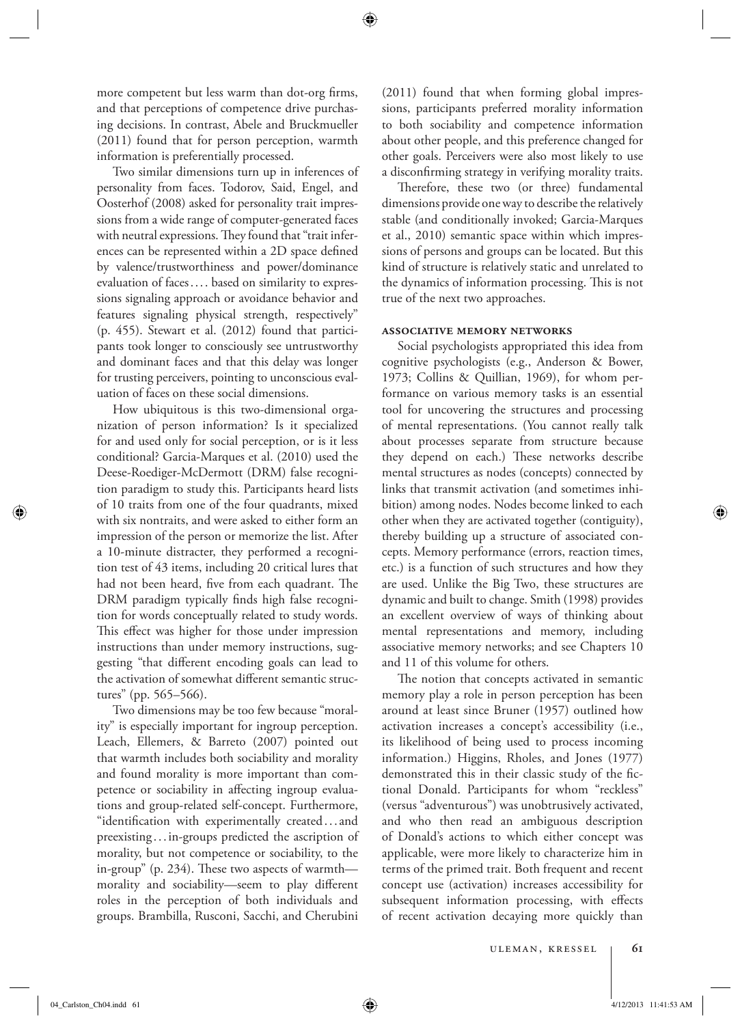more competent but less warm than dot-org firms, and that perceptions of competence drive purchasing decisions. In contrast, Abele and Bruckmueller (2011) found that for person perception, warmth information is preferentially processed.

 Two similar dimensions turn up in inferences of personality from faces. Todorov, Said, Engel, and Oosterhof (2008) asked for personality trait impressions from a wide range of computer-generated faces with neutral expressions. They found that "trait inferences can be represented within a 2D space defined by valence/trustworthiness and power/dominance evaluation of faces . . . . based on similarity to expressions signaling approach or avoidance behavior and features signaling physical strength, respectively" (p. 455). Stewart et al. (2012) found that participants took longer to consciously see untrustworthy and dominant faces and that this delay was longer for trusting perceivers, pointing to unconscious evaluation of faces on these social dimensions.

 How ubiquitous is this two-dimensional organization of person information? Is it specialized for and used only for social perception, or is it less conditional? Garcia-Marques et al. (2010) used the Deese-Roediger-McDermott (DRM) false recognition paradigm to study this. Participants heard lists of 10 traits from one of the four quadrants, mixed with six nontraits, and were asked to either form an impression of the person or memorize the list. After a 10-minute distracter, they performed a recognition test of 43 items, including 20 critical lures that had not been heard, five from each quadrant. The DRM paradigm typically finds high false recognition for words conceptually related to study words. This effect was higher for those under impression instructions than under memory instructions, suggesting "that different encoding goals can lead to the activation of somewhat different semantic structures" (pp. 565–566).

 Two dimensions may be too few because "morality" is especially important for ingroup perception. Leach, Ellemers, & Barreto (2007) pointed out that warmth includes both sociability and morality and found morality is more important than competence or sociability in affecting ingroup evaluations and group-related self-concept. Furthermore, "identification with experimentally created...and preexisting . . . in-groups predicted the ascription of morality, but not competence or sociability, to the in-group" (p. 234). These two aspects of warmth morality and sociability—seem to play different roles in the perception of both individuals and groups. Brambilla, Rusconi, Sacchi, and Cherubini (2011) found that when forming global impressions, participants preferred morality information to both sociability and competence information about other people, and this preference changed for other goals. Perceivers were also most likely to use a disconfirming strategy in verifying morality traits.

Therefore, these two (or three) fundamental dimensions provide one way to describe the relatively stable (and conditionally invoked; Garcia-Marques et al., 2010) semantic space within which impressions of persons and groups can be located. But this kind of structure is relatively static and unrelated to the dynamics of information processing. This is not true of the next two approaches.

#### **associative memory networks**

 Social psychologists appropriated this idea from cognitive psychologists (e.g., Anderson & Bower, 1973; Collins & Quillian, 1969), for whom performance on various memory tasks is an essential tool for uncovering the structures and processing of mental representations. (You cannot really talk about processes separate from structure because they depend on each.) These networks describe mental structures as nodes (concepts) connected by links that transmit activation (and sometimes inhibition) among nodes. Nodes become linked to each other when they are activated together (contiguity), thereby building up a structure of associated concepts. Memory performance (errors, reaction times, etc.) is a function of such structures and how they are used. Unlike the Big Two, these structures are dynamic and built to change. Smith (1998) provides an excellent overview of ways of thinking about mental representations and memory, including associative memory networks; and see Chapters 10 and 11 of this volume for others.

The notion that concepts activated in semantic memory play a role in person perception has been around at least since Bruner (1957) outlined how activation increases a concept's accessibility (i.e., its likelihood of being used to process incoming information.) Higgins, Rholes, and Jones (1977) demonstrated this in their classic study of the fictional Donald. Participants for whom "reckless" (versus "adventurous") was unobtrusively activated, and who then read an ambiguous description of Donald's actions to which either concept was applicable, were more likely to characterize him in terms of the primed trait. Both frequent and recent concept use (activation) increases accessibility for subsequent information processing, with effects of recent activation decaying more quickly than

⊕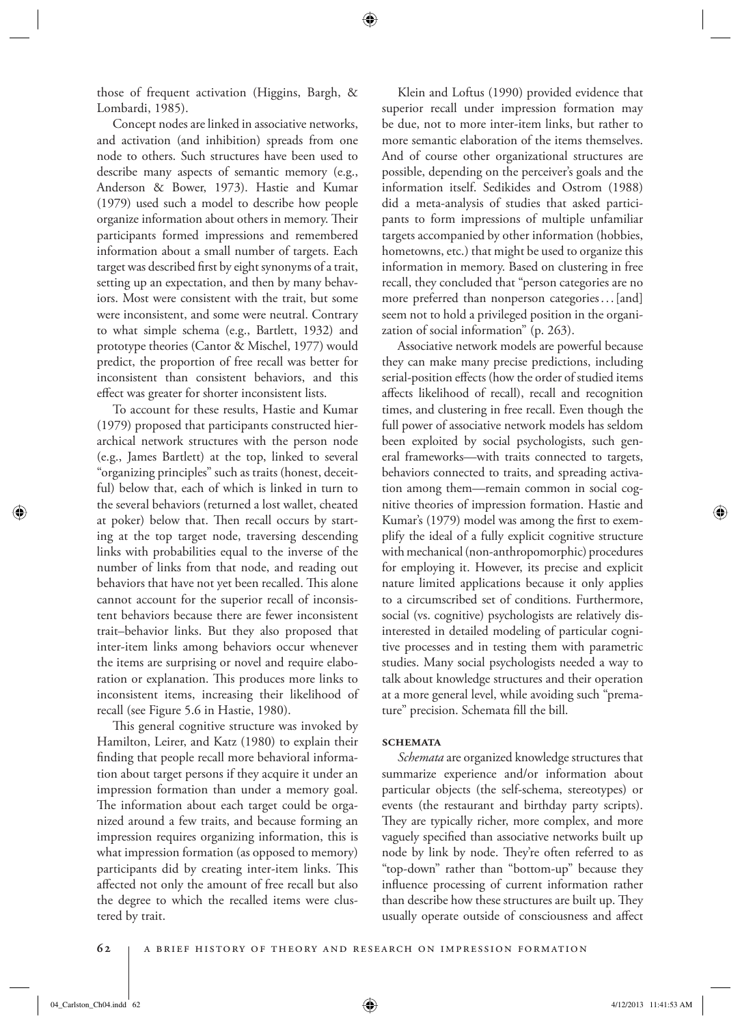those of frequent activation (Higgins, Bargh, & Lombardi, 1985).

 Concept nodes are linked in associative networks, and activation (and inhibition) spreads from one node to others. Such structures have been used to describe many aspects of semantic memory (e.g., Anderson & Bower, 1973). Hastie and Kumar (1979) used such a model to describe how people organize information about others in memory. Their participants formed impressions and remembered information about a small number of targets. Each target was described first by eight synonyms of a trait, setting up an expectation, and then by many behaviors. Most were consistent with the trait, but some were inconsistent, and some were neutral. Contrary to what simple schema (e.g., Bartlett, 1932) and prototype theories (Cantor & Mischel, 1977) would predict, the proportion of free recall was better for inconsistent than consistent behaviors, and this effect was greater for shorter inconsistent lists.

 To account for these results, Hastie and Kumar (1979) proposed that participants constructed hierarchical network structures with the person node (e.g., James Bartlett) at the top, linked to several "organizing principles" such as traits (honest, deceitful) below that, each of which is linked in turn to the several behaviors (returned a lost wallet, cheated at poker) below that. Then recall occurs by starting at the top target node, traversing descending links with probabilities equal to the inverse of the number of links from that node, and reading out behaviors that have not yet been recalled. This alone cannot account for the superior recall of inconsistent behaviors because there are fewer inconsistent trait–behavior links. But they also proposed that inter-item links among behaviors occur whenever the items are surprising or novel and require elaboration or explanation. This produces more links to inconsistent items, increasing their likelihood of recall (see Figure 5.6 in Hastie, 1980).

This general cognitive structure was invoked by Hamilton, Leirer, and Katz (1980) to explain their finding that people recall more behavioral information about target persons if they acquire it under an impression formation than under a memory goal. The information about each target could be organized around a few traits, and because forming an impression requires organizing information, this is what impression formation (as opposed to memory) participants did by creating inter-item links. This affected not only the amount of free recall but also the degree to which the recalled items were clustered by trait.

 Klein and Loftus (1990) provided evidence that superior recall under impression formation may be due, not to more inter-item links, but rather to more semantic elaboration of the items themselves. And of course other organizational structures are possible, depending on the perceiver's goals and the information itself. Sedikides and Ostrom (1988) did a meta-analysis of studies that asked participants to form impressions of multiple unfamiliar targets accompanied by other information (hobbies, hometowns, etc.) that might be used to organize this information in memory. Based on clustering in free recall, they concluded that "person categories are no more preferred than nonperson categories ... [and] seem not to hold a privileged position in the organization of social information" (p. 263).

 Associative network models are powerful because they can make many precise predictions, including serial-position effects (how the order of studied items affects likelihood of recall), recall and recognition times, and clustering in free recall. Even though the full power of associative network models has seldom been exploited by social psychologists, such general frameworks—with traits connected to targets, behaviors connected to traits, and spreading activation among them—remain common in social cognitive theories of impression formation. Hastie and Kumar's (1979) model was among the first to exemplify the ideal of a fully explicit cognitive structure with mechanical (non-anthropomorphic) procedures for employing it. However, its precise and explicit nature limited applications because it only applies to a circumscribed set of conditions. Furthermore, social (vs. cognitive) psychologists are relatively disinterested in detailed modeling of particular cognitive processes and in testing them with parametric studies. Many social psychologists needed a way to talk about knowledge structures and their operation at a more general level, while avoiding such "premature" precision. Schemata fill the bill.

#### **schemata**

*Schemata* are organized knowledge structures that summarize experience and/or information about particular objects (the self-schema, stereotypes) or events (the restaurant and birthday party scripts). They are typically richer, more complex, and more vaguely specified than associative networks built up node by link by node. They're often referred to as "top-down" rather than "bottom-up" because they influence processing of current information rather than describe how these structures are built up. They usually operate outside of consciousness and affect

#### **62** A Brief History of Theory and Research on Impression Formation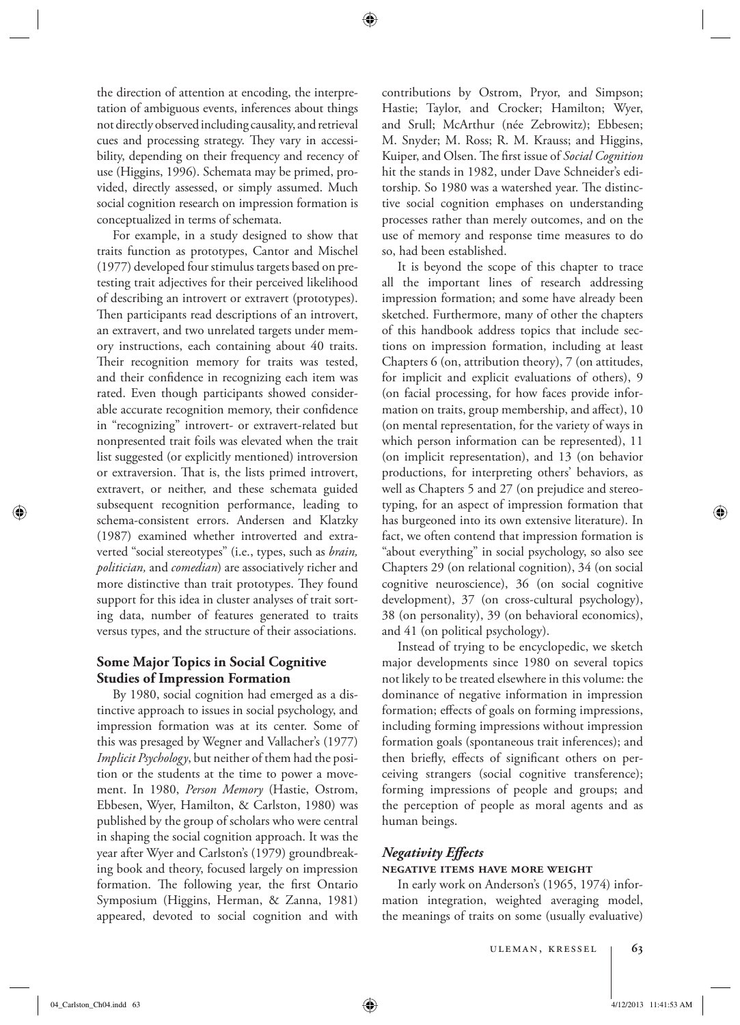the direction of attention at encoding, the interpretation of ambiguous events, inferences about things not directly observed including causality, and retrieval cues and processing strategy. They vary in accessibility, depending on their frequency and recency of use (Higgins, 1996). Schemata may be primed, provided, directly assessed, or simply assumed. Much social cognition research on impression formation is conceptualized in terms of schemata.

 For example, in a study designed to show that traits function as prototypes, Cantor and Mischel (1977) developed four stimulus targets based on pretesting trait adjectives for their perceived likelihood of describing an introvert or extravert (prototypes). Then participants read descriptions of an introvert, an extravert, and two unrelated targets under memory instructions, each containing about 40 traits. Their recognition memory for traits was tested, and their confidence in recognizing each item was rated. Even though participants showed considerable accurate recognition memory, their confidence in "recognizing" introvert- or extravert-related but nonpresented trait foils was elevated when the trait list suggested (or explicitly mentioned) introversion or extraversion. That is, the lists primed introvert, extravert, or neither, and these schemata guided subsequent recognition performance, leading to schema-consistent errors. Andersen and Klatzky (1987) examined whether introverted and extraverted "social stereotypes" (i.e., types, such as *brain, politician,* and *comedian* ) are associatively richer and more distinctive than trait prototypes. They found support for this idea in cluster analyses of trait sorting data, number of features generated to traits versus types, and the structure of their associations.

# **Some Major Topics in Social Cognitive Studies of Impression Formation**

 By 1980, social cognition had emerged as a distinctive approach to issues in social psychology, and impression formation was at its center. Some of this was presaged by Wegner and Vallacher's (1977) *Implicit Psychology* , but neither of them had the position or the students at the time to power a movement. In 1980, *Person Memory* (Hastie, Ostrom, Ebbesen, Wyer, Hamilton, & Carlston, 1980) was published by the group of scholars who were central in shaping the social cognition approach. It was the year after Wyer and Carlston's (1979) groundbreaking book and theory, focused largely on impression formation. The following year, the first Ontario Symposium (Higgins, Herman, & Zanna, 1981) appeared, devoted to social cognition and with contributions by Ostrom, Pryor, and Simpson; Hastie; Taylor, and Crocker; Hamilton; Wyer, and Srull; McArthur (née Zebrowitz); Ebbesen; M. Snyder; M. Ross; R. M. Krauss; and Higgins, Kuiper, and Olsen. The first issue of *Social Cognition* hit the stands in 1982, under Dave Schneider's editorship. So 1980 was a watershed year. The distinctive social cognition emphases on understanding processes rather than merely outcomes, and on the use of memory and response time measures to do so, had been established.

 It is beyond the scope of this chapter to trace all the important lines of research addressing impression formation; and some have already been sketched. Furthermore, many of other the chapters of this handbook address topics that include sections on impression formation, including at least Chapters 6 (on, attribution theory), 7 (on attitudes, for implicit and explicit evaluations of others), 9 (on facial processing, for how faces provide information on traits, group membership, and affect), 10 (on mental representation, for the variety of ways in which person information can be represented), 11 (on implicit representation), and 13 (on behavior productions, for interpreting others' behaviors, as well as Chapters 5 and 27 (on prejudice and stereotyping, for an aspect of impression formation that has burgeoned into its own extensive literature). In fact, we often contend that impression formation is "about everything" in social psychology, so also see Chapters 29 (on relational cognition), 34 (on social cognitive neuroscience), 36 (on social cognitive development), 37 (on cross-cultural psychology), 38 (on personality), 39 (on behavioral economics), and 41 (on political psychology).

 Instead of trying to be encyclopedic, we sketch major developments since 1980 on several topics not likely to be treated elsewhere in this volume: the dominance of negative information in impression formation; effects of goals on forming impressions, including forming impressions without impression formation goals (spontaneous trait inferences); and then briefly, effects of significant others on perceiving strangers (social cognitive transference); forming impressions of people and groups; and the perception of people as moral agents and as human beings.

# *Negativity Effects*

# **negative items have more weight**

 In early work on Anderson's (1965, 1974) information integration, weighted averaging model, the meanings of traits on some (usually evaluative)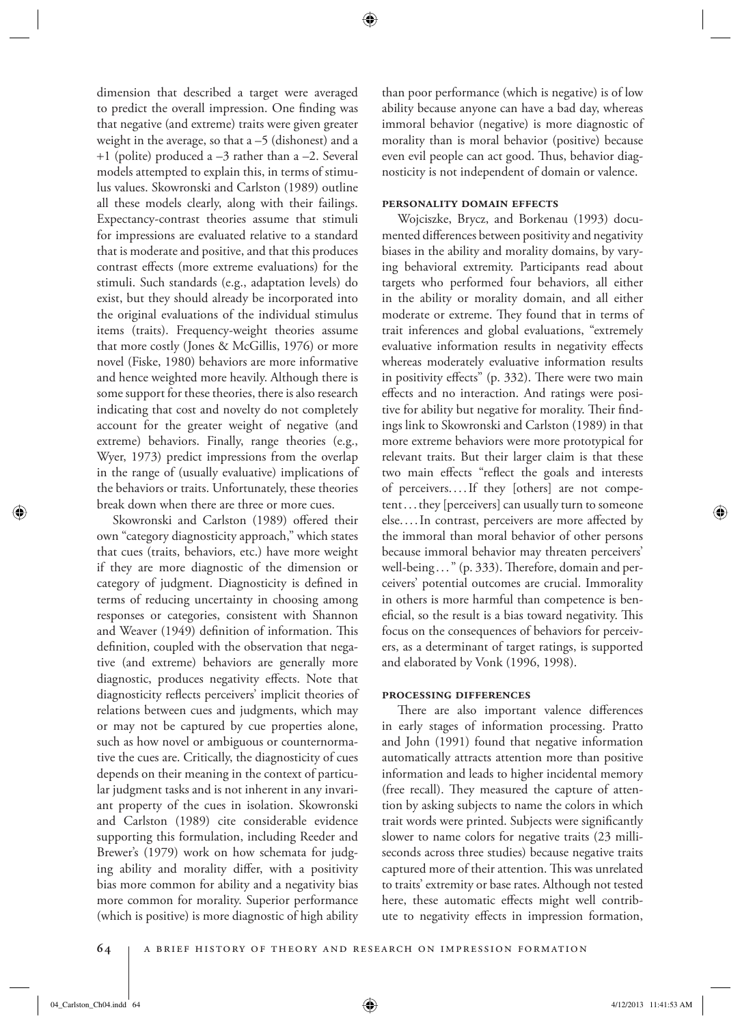dimension that described a target were averaged to predict the overall impression. One finding was that negative (and extreme) traits were given greater weight in the average, so that  $a - 5$  (dishonest) and a  $+1$  (polite) produced a  $-3$  rather than a  $-2$ . Several models attempted to explain this, in terms of stimulus values. Skowronski and Carlston (1989) outline all these models clearly, along with their failings. Expectancy-contrast theories assume that stimuli for impressions are evaluated relative to a standard that is moderate and positive, and that this produces contrast effects (more extreme evaluations) for the stimuli. Such standards (e.g., adaptation levels) do exist, but they should already be incorporated into the original evaluations of the individual stimulus items (traits). Frequency-weight theories assume that more costly (Jones & McGillis, 1976) or more novel (Fiske, 1980) behaviors are more informative and hence weighted more heavily. Although there is some support for these theories, there is also research indicating that cost and novelty do not completely account for the greater weight of negative (and extreme) behaviors. Finally, range theories (e.g., Wyer, 1973) predict impressions from the overlap in the range of (usually evaluative) implications of the behaviors or traits. Unfortunately, these theories break down when there are three or more cues.

Skowronski and Carlston (1989) offered their own "category diagnosticity approach," which states that cues (traits, behaviors, etc.) have more weight if they are more diagnostic of the dimension or category of judgment. Diagnosticity is defined in terms of reducing uncertainty in choosing among responses or categories, consistent with Shannon and Weaver (1949) definition of information. This definition, coupled with the observation that negative (and extreme) behaviors are generally more diagnostic, produces negativity effects. Note that diagnosticity reflects perceivers' implicit theories of relations between cues and judgments, which may or may not be captured by cue properties alone, such as how novel or ambiguous or counternormative the cues are. Critically, the diagnosticity of cues depends on their meaning in the context of particular judgment tasks and is not inherent in any invariant property of the cues in isolation. Skowronski and Carlston (1989) cite considerable evidence supporting this formulation, including Reeder and Brewer's (1979) work on how schemata for judging ability and morality differ, with a positivity bias more common for ability and a negativity bias more common for morality. Superior performance (which is positive) is more diagnostic of high ability than poor performance (which is negative) is of low ability because anyone can have a bad day, whereas immoral behavior (negative) is more diagnostic of morality than is moral behavior (positive) because even evil people can act good. Thus, behavior diagnosticity is not independent of domain or valence.

#### **personality domain effects**

 Wojciszke, Brycz, and Borkenau (1993) documented differences between positivity and negativity biases in the ability and morality domains, by varying behavioral extremity. Participants read about targets who performed four behaviors, all either in the ability or morality domain, and all either moderate or extreme. They found that in terms of trait inferences and global evaluations, "extremely evaluative information results in negativity effects whereas moderately evaluative information results in positivity effects" (p.  $332$ ). There were two main effects and no interaction. And ratings were positive for ability but negative for morality. Their findings link to Skowronski and Carlston (1989) in that more extreme behaviors were more prototypical for relevant traits. But their larger claim is that these two main effects "reflect the goals and interests of perceivers. . . . If they [others] are not competent . . . they [perceivers] can usually turn to someone else....In contrast, perceivers are more affected by the immoral than moral behavior of other persons because immoral behavior may threaten perceivers' well-being . . . " (p. 333). Therefore, domain and perceivers' potential outcomes are crucial. Immorality in others is more harmful than competence is beneficial, so the result is a bias toward negativity. This focus on the consequences of behaviors for perceivers, as a determinant of target ratings, is supported and elaborated by Vonk (1996, 1998).

#### **processing differences**

There are also important valence differences in early stages of information processing. Pratto and John (1991) found that negative information automatically attracts attention more than positive information and leads to higher incidental memory (free recall). They measured the capture of attention by asking subjects to name the colors in which trait words were printed. Subjects were significantly slower to name colors for negative traits (23 milliseconds across three studies) because negative traits captured more of their attention. This was unrelated to traits' extremity or base rates. Although not tested here, these automatic effects might well contribute to negativity effects in impression formation,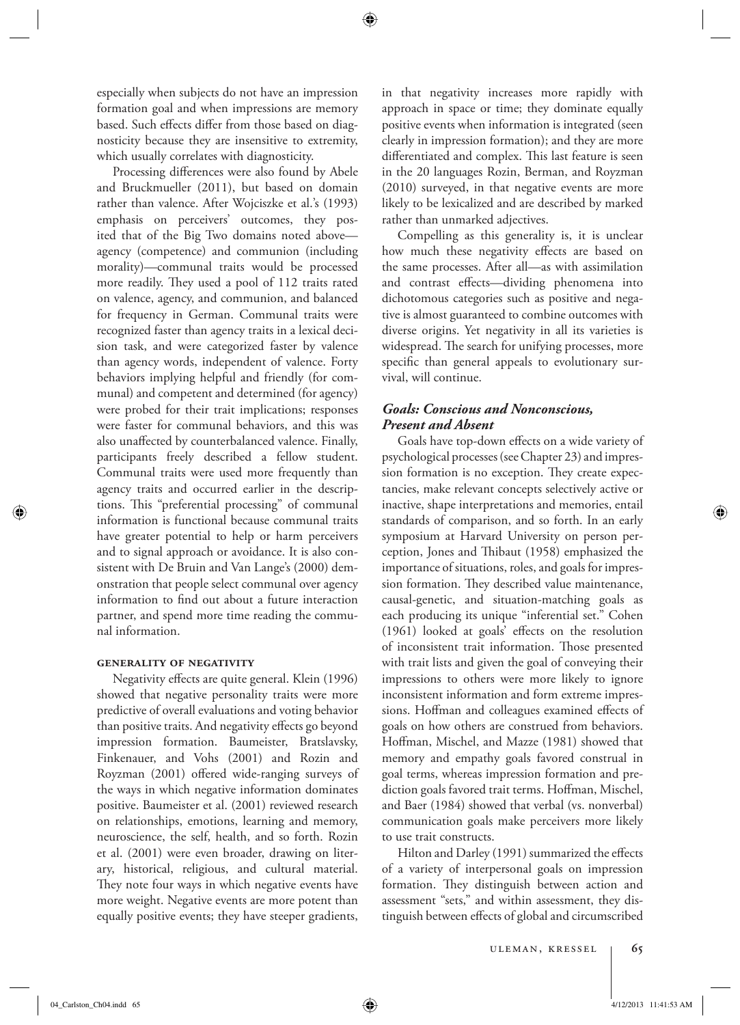especially when subjects do not have an impression formation goal and when impressions are memory based. Such effects differ from those based on diagnosticity because they are insensitive to extremity, which usually correlates with diagnosticity.

Processing differences were also found by Abele and Bruckmueller (2011), but based on domain rather than valence. After Wojciszke et al.'s (1993) emphasis on perceivers' outcomes, they posited that of the Big Two domains noted above agency (competence) and communion (including morality)—communal traits would be processed more readily. They used a pool of 112 traits rated on valence, agency, and communion, and balanced for frequency in German. Communal traits were recognized faster than agency traits in a lexical decision task, and were categorized faster by valence than agency words, independent of valence. Forty behaviors implying helpful and friendly (for communal) and competent and determined (for agency) were probed for their trait implications; responses were faster for communal behaviors, and this was also unaffected by counterbalanced valence. Finally, participants freely described a fellow student. Communal traits were used more frequently than agency traits and occurred earlier in the descriptions. This "preferential processing" of communal information is functional because communal traits have greater potential to help or harm perceivers and to signal approach or avoidance. It is also consistent with De Bruin and Van Lange's (2000) demonstration that people select communal over agency information to find out about a future interaction partner, and spend more time reading the communal information.

# **generality of negativity**

Negativity effects are quite general. Klein (1996) showed that negative personality traits were more predictive of overall evaluations and voting behavior than positive traits. And negativity effects go beyond impression formation. Baumeister, Bratslavsky, Finkenauer, and Vohs (2001) and Rozin and Royzman (2001) offered wide-ranging surveys of the ways in which negative information dominates positive. Baumeister et al. (2001) reviewed research on relationships, emotions, learning and memory, neuroscience, the self, health, and so forth. Rozin et al. (2001) were even broader, drawing on literary, historical, religious, and cultural material. They note four ways in which negative events have more weight. Negative events are more potent than equally positive events; they have steeper gradients,

in that negativity increases more rapidly with approach in space or time; they dominate equally positive events when information is integrated (seen clearly in impression formation); and they are more differentiated and complex. This last feature is seen in the 20 languages Rozin, Berman, and Royzman (2010) surveyed, in that negative events are more likely to be lexicalized and are described by marked rather than unmarked adjectives.

 Compelling as this generality is, it is unclear how much these negativity effects are based on the same processes. After all—as with assimilation and contrast effects—dividing phenomena into dichotomous categories such as positive and negative is almost guaranteed to combine outcomes with diverse origins. Yet negativity in all its varieties is widespread. The search for unifying processes, more specific than general appeals to evolutionary survival, will continue.

# *Goals: Conscious and Nonconscious, Present and Absent*

Goals have top-down effects on a wide variety of psychological processes (see Chapter 23) and impression formation is no exception. They create expectancies, make relevant concepts selectively active or inactive, shape interpretations and memories, entail standards of comparison, and so forth. In an early symposium at Harvard University on person perception, Jones and Thibaut (1958) emphasized the importance of situations, roles, and goals for impression formation. They described value maintenance, causal-genetic, and situation-matching goals as each producing its unique "inferential set." Cohen  $(1961)$  looked at goals' effects on the resolution of inconsistent trait information. Those presented with trait lists and given the goal of conveying their impressions to others were more likely to ignore inconsistent information and form extreme impressions. Hoffman and colleagues examined effects of goals on how others are construed from behaviors. Hoffman, Mischel, and Mazze (1981) showed that memory and empathy goals favored construal in goal terms, whereas impression formation and prediction goals favored trait terms. Hoffman, Mischel, and Baer (1984) showed that verbal (vs. nonverbal) communication goals make perceivers more likely to use trait constructs.

Hilton and Darley (1991) summarized the effects of a variety of interpersonal goals on impression formation. They distinguish between action and assessment "sets," and within assessment, they distinguish between effects of global and circumscribed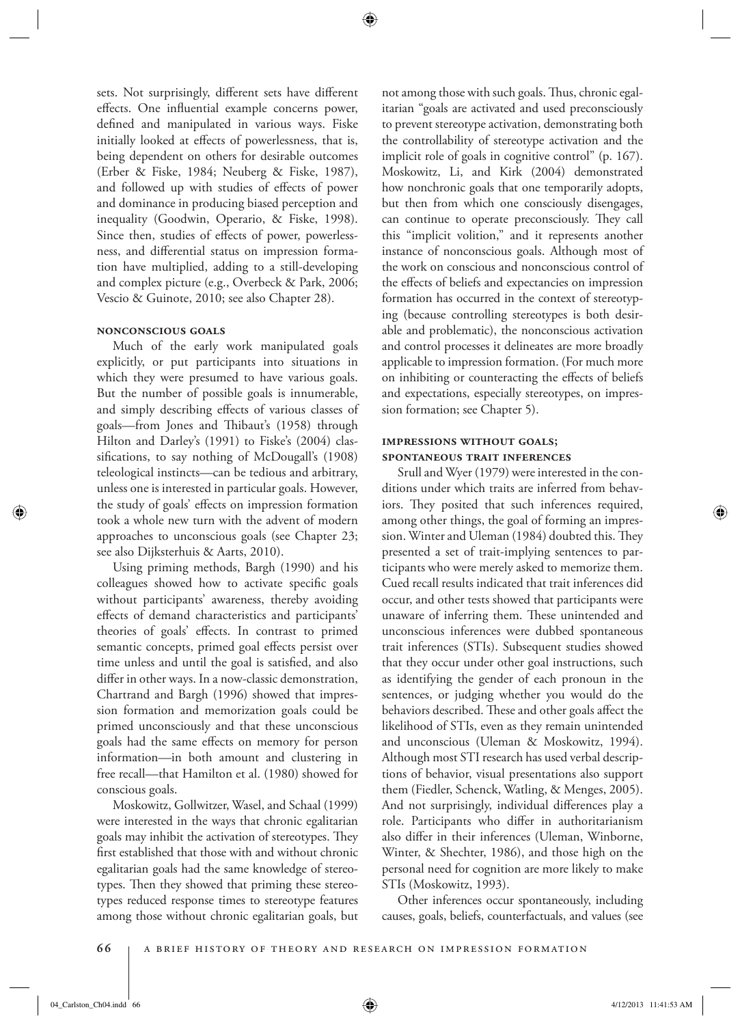sets. Not surprisingly, different sets have different effects. One influential example concerns power, defined and manipulated in various ways. Fiske initially looked at effects of powerlessness, that is, being dependent on others for desirable outcomes (Erber & Fiske, 1984; Neuberg & Fiske, 1987), and followed up with studies of effects of power and dominance in producing biased perception and inequality (Goodwin, Operario, & Fiske, 1998). Since then, studies of effects of power, powerlessness, and differential status on impression formation have multiplied, adding to a still-developing and complex picture (e.g., Overbeck & Park, 2006; Vescio & Guinote, 2010; see also Chapter 28).

### **nonconscious goals**

 Much of the early work manipulated goals explicitly, or put participants into situations in which they were presumed to have various goals. But the number of possible goals is innumerable, and simply describing effects of various classes of goals—from Jones and Thibaut's (1958) through Hilton and Darley's (1991) to Fiske's (2004) classifications, to say nothing of McDougall's (1908) teleological instincts—can be tedious and arbitrary, unless one is interested in particular goals. However, the study of goals' effects on impression formation took a whole new turn with the advent of modern approaches to unconscious goals (see Chapter 23; see also Dijksterhuis & Aarts, 2010).

 Using priming methods, Bargh (1990) and his colleagues showed how to activate specific goals without participants' awareness, thereby avoiding effects of demand characteristics and participants' theories of goals' effects. In contrast to primed semantic concepts, primed goal effects persist over time unless and until the goal is satisfied, and also differ in other ways. In a now-classic demonstration, Chartrand and Bargh (1996) showed that impression formation and memorization goals could be primed unconsciously and that these unconscious goals had the same effects on memory for person information—in both amount and clustering in free recall—that Hamilton et al. (1980) showed for conscious goals.

 Moskowitz, Gollwitzer, Wasel, and Schaal (1999) were interested in the ways that chronic egalitarian goals may inhibit the activation of stereotypes. They first established that those with and without chronic egalitarian goals had the same knowledge of stereotypes. Then they showed that priming these stereotypes reduced response times to stereotype features among those without chronic egalitarian goals, but

not among those with such goals. Thus, chronic egalitarian "goals are activated and used preconsciously to prevent stereotype activation, demonstrating both the controllability of stereotype activation and the implicit role of goals in cognitive control" (p. 167). Moskowitz, Li, and Kirk (2004) demonstrated how nonchronic goals that one temporarily adopts, but then from which one consciously disengages, can continue to operate preconsciously. They call this "implicit volition," and it represents another instance of nonconscious goals. Although most of the work on conscious and nonconscious control of the effects of beliefs and expectancies on impression formation has occurred in the context of stereotyping (because controlling stereotypes is both desirable and problematic), the nonconscious activation and control processes it delineates are more broadly applicable to impression formation. (For much more on inhibiting or counteracting the effects of beliefs and expectations, especially stereotypes, on impression formation; see Chapter 5).

# **impressions without goals; spontaneous trait inferences**

 Srull and Wyer (1979) were interested in the conditions under which traits are inferred from behaviors. They posited that such inferences required, among other things, the goal of forming an impression. Winter and Uleman (1984) doubted this. They presented a set of trait-implying sentences to participants who were merely asked to memorize them. Cued recall results indicated that trait inferences did occur, and other tests showed that participants were unaware of inferring them. These unintended and unconscious inferences were dubbed spontaneous trait inferences (STIs). Subsequent studies showed that they occur under other goal instructions, such as identifying the gender of each pronoun in the sentences, or judging whether you would do the behaviors described. These and other goals affect the likelihood of STIs, even as they remain unintended and unconscious (Uleman & Moskowitz, 1994). Although most STI research has used verbal descriptions of behavior, visual presentations also support them (Fiedler, Schenck, Watling, & Menges, 2005). And not surprisingly, individual differences play a role. Participants who differ in authoritarianism also differ in their inferences (Uleman, Winborne, Winter, & Shechter, 1986), and those high on the personal need for cognition are more likely to make STIs (Moskowitz, 1993).

 Other inferences occur spontaneously, including causes, goals, beliefs, counterfactuals, and values (see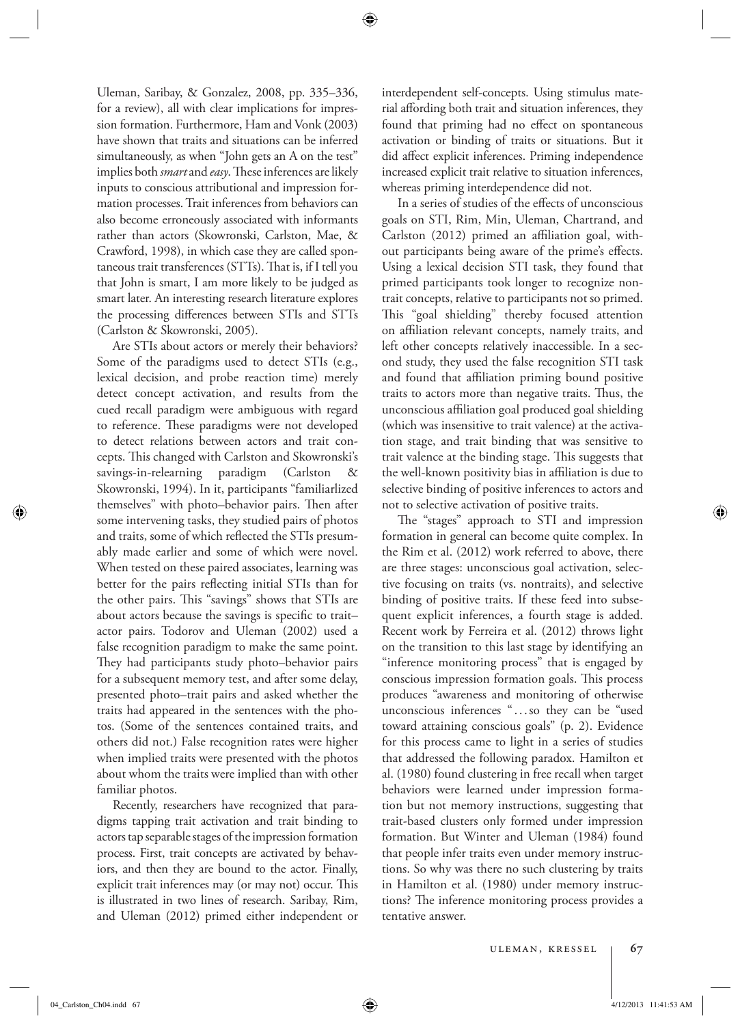Uleman, Saribay, & Gonzalez, 2008, pp. 335–336, for a review), all with clear implications for impression formation. Furthermore, Ham and Vonk (2003) have shown that traits and situations can be inferred simultaneously, as when "John gets an A on the test" implies both *smart* and *easy*. These inferences are likely inputs to conscious attributional and impression formation processes. Trait inferences from behaviors can also become erroneously associated with informants rather than actors (Skowronski, Carlston, Mae, & Crawford, 1998), in which case they are called spontaneous trait transferences  $(STTs)$ . That is, if I tell you that John is smart, I am more likely to be judged as smart later. An interesting research literature explores the processing differences between STIs and STTs (Carlston & Skowronski, 2005).

 Are STIs about actors or merely their behaviors? Some of the paradigms used to detect STIs (e.g., lexical decision, and probe reaction time) merely detect concept activation, and results from the cued recall paradigm were ambiguous with regard to reference. These paradigms were not developed to detect relations between actors and trait concepts. This changed with Carlston and Skowronski's savings-in-relearning paradigm (Carlston & Skowronski, 1994). In it, participants "familiarlized themselves" with photo–behavior pairs. Then after some intervening tasks, they studied pairs of photos and traits, some of which reflected the STIs presumably made earlier and some of which were novel. When tested on these paired associates, learning was better for the pairs reflecting initial STIs than for the other pairs. This "savings" shows that STIs are about actors because the savings is specific to traitactor pairs. Todorov and Uleman (2002) used a false recognition paradigm to make the same point. They had participants study photo-behavior pairs for a subsequent memory test, and after some delay, presented photo–trait pairs and asked whether the traits had appeared in the sentences with the photos. (Some of the sentences contained traits, and others did not.) False recognition rates were higher when implied traits were presented with the photos about whom the traits were implied than with other familiar photos.

 Recently, researchers have recognized that paradigms tapping trait activation and trait binding to actors tap separable stages of the impression formation process. First, trait concepts are activated by behaviors, and then they are bound to the actor. Finally, explicit trait inferences may (or may not) occur. This is illustrated in two lines of research. Saribay, Rim, and Uleman (2012) primed either independent or interdependent self-concepts. Using stimulus material affording both trait and situation inferences, they found that priming had no effect on spontaneous activation or binding of traits or situations. But it did affect explicit inferences. Priming independence increased explicit trait relative to situation inferences, whereas priming interdependence did not.

In a series of studies of the effects of unconscious goals on STI, Rim, Min, Uleman, Chartrand, and Carlston (2012) primed an affiliation goal, without participants being aware of the prime's effects. Using a lexical decision STI task, they found that primed participants took longer to recognize nontrait concepts, relative to participants not so primed. This "goal shielding" thereby focused attention on affiliation relevant concepts, namely traits, and left other concepts relatively inaccessible. In a second study, they used the false recognition STI task and found that affiliation priming bound positive traits to actors more than negative traits. Thus, the unconscious affiliation goal produced goal shielding (which was insensitive to trait valence) at the activation stage, and trait binding that was sensitive to trait valence at the binding stage. This suggests that the well-known positivity bias in affiliation is due to selective binding of positive inferences to actors and not to selective activation of positive traits.

The "stages" approach to STI and impression formation in general can become quite complex. In the Rim et al. (2012) work referred to above, there are three stages: unconscious goal activation, selective focusing on traits (vs. nontraits), and selective binding of positive traits. If these feed into subsequent explicit inferences, a fourth stage is added. Recent work by Ferreira et al. (2012) throws light on the transition to this last stage by identifying an "inference monitoring process" that is engaged by conscious impression formation goals. This process produces "awareness and monitoring of otherwise unconscious inferences " . . . so they can be "used toward attaining conscious goals" (p. 2). Evidence for this process came to light in a series of studies that addressed the following paradox. Hamilton et al. (1980) found clustering in free recall when target behaviors were learned under impression formation but not memory instructions, suggesting that trait-based clusters only formed under impression formation. But Winter and Uleman (1984) found that people infer traits even under memory instructions. So why was there no such clustering by traits in Hamilton et al. (1980) under memory instructions? The inference monitoring process provides a tentative answer.

04\_Carlston\_Ch04.indd 67 4/12/2013 11:41:53 AM  $\bigoplus$ 

⊕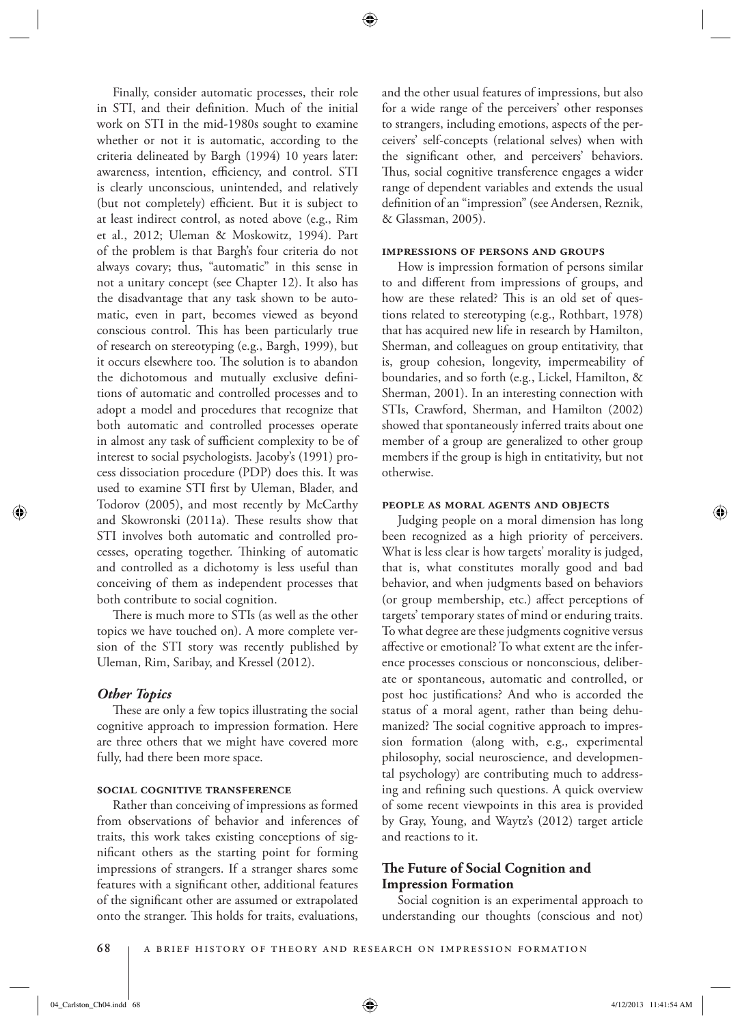Finally, consider automatic processes, their role in STI, and their definition. Much of the initial work on STI in the mid-1980s sought to examine whether or not it is automatic, according to the criteria delineated by Bargh (1994) 10 years later: awareness, intention, efficiency, and control. STI is clearly unconscious, unintended, and relatively (but not completely) efficient. But it is subject to at least indirect control, as noted above (e.g., Rim et al., 2012; Uleman & Moskowitz, 1994). Part of the problem is that Bargh's four criteria do not always covary; thus, "automatic" in this sense in not a unitary concept (see Chapter 12). It also has the disadvantage that any task shown to be automatic, even in part, becomes viewed as beyond conscious control. This has been particularly true of research on stereotyping (e.g., Bargh, 1999), but it occurs elsewhere too. The solution is to abandon the dichotomous and mutually exclusive definitions of automatic and controlled processes and to adopt a model and procedures that recognize that both automatic and controlled processes operate in almost any task of sufficient complexity to be of interest to social psychologists. Jacoby's (1991) process dissociation procedure (PDP) does this. It was used to examine STI first by Uleman, Blader, and Todorov (2005), and most recently by McCarthy and Skowronski (2011a). These results show that STI involves both automatic and controlled processes, operating together. Thinking of automatic and controlled as a dichotomy is less useful than conceiving of them as independent processes that both contribute to social cognition.

There is much more to STIs (as well as the other topics we have touched on). A more complete version of the STI story was recently published by Uleman, Rim, Saribay, and Kressel (2012).

### *Other Topics*

These are only a few topics illustrating the social cognitive approach to impression formation. Here are three others that we might have covered more fully, had there been more space.

## **social cognitive transference**

 Rather than conceiving of impressions as formed from observations of behavior and inferences of traits, this work takes existing conceptions of significant others as the starting point for forming impressions of strangers. If a stranger shares some features with a significant other, additional features of the significant other are assumed or extrapolated onto the stranger. This holds for traits, evaluations,

and the other usual features of impressions, but also for a wide range of the perceivers' other responses to strangers, including emotions, aspects of the perceivers' self-concepts (relational selves) when with the significant other, and perceivers' behaviors. Thus, social cognitive transference engages a wider range of dependent variables and extends the usual definition of an "impression" (see Andersen, Reznik, & Glassman, 2005).

#### **impressions of persons and groups**

 How is impression formation of persons similar to and different from impressions of groups, and how are these related? This is an old set of questions related to stereotyping (e.g., Rothbart, 1978) that has acquired new life in research by Hamilton, Sherman, and colleagues on group entitativity, that is, group cohesion, longevity, impermeability of boundaries, and so forth (e.g., Lickel, Hamilton, & Sherman, 2001). In an interesting connection with STIs, Crawford, Sherman, and Hamilton (2002) showed that spontaneously inferred traits about one member of a group are generalized to other group members if the group is high in entitativity, but not otherwise.

#### **people as moral agents and objects**

 Judging people on a moral dimension has long been recognized as a high priority of perceivers. What is less clear is how targets' morality is judged, that is, what constitutes morally good and bad behavior, and when judgments based on behaviors (or group membership, etc.) affect perceptions of targets' temporary states of mind or enduring traits. To what degree are these judgments cognitive versus affective or emotional? To what extent are the inference processes conscious or nonconscious, deliberate or spontaneous, automatic and controlled, or post hoc justifications? And who is accorded the status of a moral agent, rather than being dehumanized? The social cognitive approach to impression formation (along with, e.g., experimental philosophy, social neuroscience, and developmental psychology) are contributing much to addressing and refining such questions. A quick overview of some recent viewpoints in this area is provided by Gray, Young, and Waytz's (2012) target article and reactions to it.

# **The Future of Social Cognition and Impression Formation**

 Social cognition is an experimental approach to understanding our thoughts (conscious and not)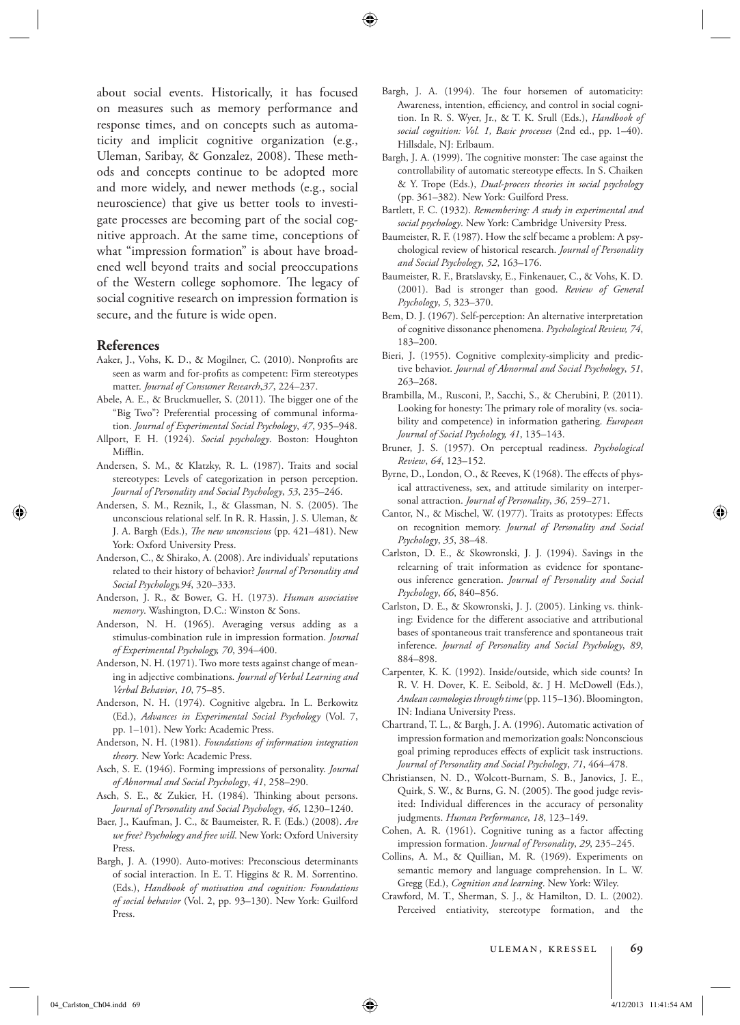about social events. Historically, it has focused on measures such as memory performance and response times, and on concepts such as automaticity and implicit cognitive organization (e.g., Uleman, Saribay, & Gonzalez, 2008). These methods and concepts continue to be adopted more and more widely, and newer methods (e.g., social neuroscience) that give us better tools to investigate processes are becoming part of the social cognitive approach. At the same time, conceptions of what "impression formation" is about have broadened well beyond traits and social preoccupations of the Western college sophomore. The legacy of social cognitive research on impression formation is secure, and the future is wide open.

#### **References**

- Aaker, J., Vohs, K. D., & Mogilner, C. (2010). Nonprofits are seen as warm and for-profits as competent: Firm stereotypes matter. *Journal of Consumer Research*, 37, 224-237.
- Abele, A. E., & Bruckmueller, S. (2011). The bigger one of the "Big Two"? Preferential processing of communal information. *Journal of Experimental Social Psychology*, 47, 935-948.
- Allport, F. H. (1924). *Social psychology*. Boston: Houghton Mifflin.
- Andersen, S. M., & Klatzky, R. L. (1987). Traits and social stereotypes: Levels of categorization in person perception. *Journal of Personality and Social Psychology* , *53* , 235–246 .
- Andersen, S. M., Reznik, I., & Glassman, N. S. (2005). The unconscious relational self. In R. R. Hassin, J. S. Uleman, & J. A. Bargh (Eds.), *The new unconscious* (pp. 421-481). New York: Oxford University Press.
- Anderson, C., & Shirako, A. (2008). Are individuals' reputations related to their history of behavior? *Journal of Personality and Social Psychology,94* , 320–333 .
- Anderson, J. R., & Bower, G. H. (1973). *Human associative*  memory. Washington, D.C.: Winston & Sons.
- Anderson, N. H. (1965). Averaging versus adding as a stimulus-combination rule in impression formation . *Journal of Experimental Psychology, 70* , 394–400 .
- Anderson, N. H. (1971). Two more tests against change of meaning in adjective combinations . *Journal of Verbal Learning and Verbal Behavior* , *10* , 75–85 .
- Anderson, N. H. (1974). Cognitive algebra. In L. Berkowitz (Ed.), *Advances in Experimental Social Psychology* (Vol. 7 , pp. 1-101). New York: Academic Press.
- Anderson, N. H. (1981). *Foundations of information integration*  theory. New York: Academic Press.
- Asch, S. E. (1946). Forming impressions of personality . *Journal of Abnormal and Social Psychology* , *41* , 258–290 .
- Asch, S. E., & Zukier, H. (1984). Thinking about persons. *Journal of Personality and Social Psychology* , *46* , 1230–1240.
- Baer, J., Kaufman, J. C., & Baumeister, R. F. (Eds.) (2008). *Are*  we free? Psychology and free will. New York: Oxford University Press.
- Bargh, J. A. (1990). Auto-motives: Preconscious determinants of social interaction. In E. T. Higgins & R. M. Sorrentino. (Eds.), *Handbook of motivation and cognition: Foundations*  of social behavior (Vol. 2, pp. 93-130). New York: Guilford Press.
- Bargh, J. A. (1994). The four horsemen of automaticity: Awareness, intention, efficiency, and control in social cognition. In R. S. Wyer, Jr., & T. K. Srull (Eds.), *Handbook of*  social cognition: Vol. 1, Basic processes (2nd ed., pp. 1-40). Hillsdale, NJ: Erlbaum.
- Bargh, J. A. (1999). The cognitive monster: The case against the controllability of automatic stereotype effects. In S. Chaiken & Y. Trope (Eds.), *Dual-process theories in social psychology* (pp. 361-382). New York: Guilford Press.
- Bartlett, F. C. (1932). *Remembering: A study in experimental and*  social psychology. New York: Cambridge University Press.
- Baumeister, R. F. (1987). How the self became a problem: A psychological review of historical research . *Journal of Personality and Social Psychology* , *52* , 163–176 .
- Baumeister, R. F., Bratslavsky, E., Finkenauer, C., & Vohs, K. D. (2001). Bad is stronger than good. Review of General *Psychology* , *5* , 323–370 .
- Bem, D. J. (1967). Self-perception: An alternative interpretation of cognitive dissonance phenomena . *Psychological Review, 74* , 183–200.
- Bieri, J. (1955). Cognitive complexity-simplicity and predictive behavior. *Journal of Abnormal and Social Psychology*, 51, 263–268 .
- Brambilla, M., Rusconi, P., Sacchi, S., & Cherubini, P. (2011). Looking for honesty: The primary role of morality (vs. sociability and competence) in information gathering. *European Journal of Social Psychology, 41* , 135–143 .
- Bruner, J. S. (1957). On perceptual readiness . *Psychological Review* , *64* , 123–152 .
- Byrne, D., London, O., & Reeves, K (1968). The effects of physical attractiveness, sex, and attitude similarity on interpersonal attraction. *Journal of Personality*, 36, 259-271.
- Cantor, N., & Mischel, W. (1977). Traits as prototypes: Effects on recognition memory . *Journal of Personality and Social Psychology* , *35* , 38–48 .
- Carlston, D. E., & Skowronski, J. J. (1994). Savings in the relearning of trait information as evidence for spontaneous inference generation . *Journal of Personality and Social Psychology* , *66* , 840–856 .
- Carlston, D. E., & Skowronski, J. J. (2005). Linking vs. thinking: Evidence for the different associative and attributional bases of spontaneous trait transference and spontaneous trait inference. *Journal of Personality and Social Psychology* , *89* , 884–898 .
- Carpenter, K. K. (1992). Inside/outside, which side counts? In R. V. H. Dover, K. E. Seibold, &. J H. McDowell (Eds.), Andean cosmologies through time (pp. 115-136). Bloomington, IN: Indiana University Press.
- Chartrand, T. L., & Bargh, J. A. (1996). Automatic activation of impression formation and memorization goals: Nonconscious goal priming reproduces effects of explicit task instructions. *Journal of Personality and Social Psychology* , *71* , 464–478 .
- Christiansen, N. D., Wolcott-Burnam, S. B., Janovics, J. E., Quirk, S. W., & Burns, G. N. (2005). The good judge revisited: Individual differences in the accuracy of personality judgments. Human Performance, 18, 123-149.
- Cohen, A. R. (1961). Cognitive tuning as a factor affecting impression formation. *Journal of Personality*, 29, 235-245.
- Collins, A. M., & Quillian, M. R. (1969). Experiments on semantic memory and language comprehension. In L. W. Gregg (Ed.), *Cognition and learning*. New York: Wiley.
- Crawford, M. T., Sherman, S. J., & Hamilton, D. L. (2002). Perceived entiativity, stereotype formation, and the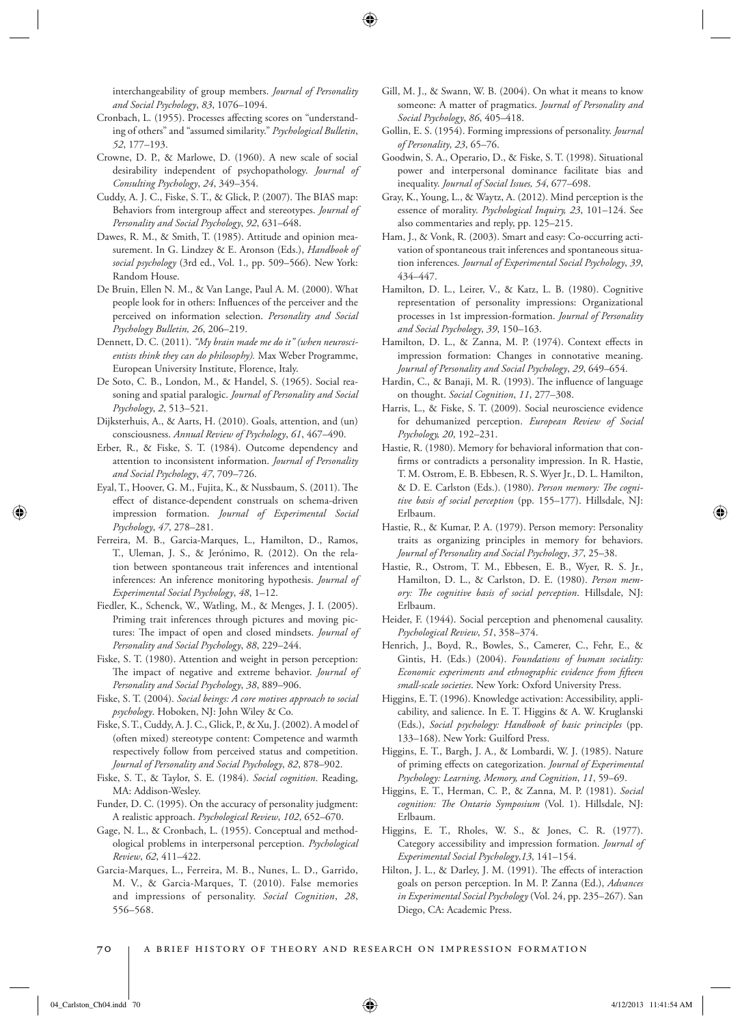interchangeability of group members . *Journal of Personality and Social Psychology* , *83* , 1076–1094 .

- Cronbach, L. (1955). Processes affecting scores on "understanding of others" and "assumed similarity." Psychological Bulletin, *52* , 177–193 .
- Crowne, D. P., & Marlowe, D. (1960). A new scale of social desirability independent of psychopathology . *Journal of Consulting Psychology* , *24* , 349–354 .
- Cuddy, A. J. C., Fiske, S. T., & Glick, P. (2007). The BIAS map: Behaviors from intergroup affect and stereotypes. *Journal of Personality and Social Psychology* , *92* , 631–648 .
- Dawes, R. M., & Smith, T. (1985). Attitude and opinion measurement. In G. Lindzey & E. Aronson (Eds.), *Handbook of*  social psychology (3rd ed., Vol. 1., pp. 509-566). New York: Random House.
- De Bruin, Ellen N. M., & Van Lange, Paul A. M. (2000). What people look for in others: Influences of the perceiver and the perceived on information selection. Personality and Social *Psychology Bulletin, 26* , 206–219 .
- Dennett, D. C. (2011). *"My brain made me do it" (when neuroscientists think they can do philosophy).* Max Weber Programme, European University Institute, Florence, Italy.
- De Soto, C. B., London, M., & Handel, S. (1965). Social reasoning and spatial paralogic. *Journal of Personality and Social Psychology* , *2* , 513–521 .
- Dijksterhuis, A., & Aarts, H. (2010). Goals, attention, and (un) consciousness. *Annual Review of Psychology* , *61* , 467–490 .
- Erber, R., & Fiske, S. T. (1984). Outcome dependency and attention to inconsistent information . *Journal of Personality and Social Psychology* , *47* , 709–726 .
- Eyal, T., Hoover, G. M., Fujita, K., & Nussbaum, S. (2011). The effect of distance-dependent construals on schema-driven impression formation . *Journal of Experimental Social Psychology* , *47* , 278–281 .
- Ferreira, M. B., Garcia-Marques, L., Hamilton, D., Ramos, T., Uleman, J. S., & Jerónimo, R. (2012). On the relation between spontaneous trait inferences and intentional inferences: An inference monitoring hypothesis . *Journal of Experimental Social Psychology* , *48* , 1–12 .
- Fiedler, K., Schenck, W., Watling, M., & Menges, J. I. (2005). Priming trait inferences through pictures and moving pictures: The impact of open and closed mindsets. *Journal of Personality and Social Psychology* , *88* , 229–244 .
- Fiske, S. T. (1980). Attention and weight in person perception: The impact of negative and extreme behavior. *Journal of Personality and Social Psychology* , *38* , 889–906 .
- Fiske, S. T. (2004). *Social beings: A core motives approach to social*  psychology. Hoboken, NJ: John Wiley & Co.
- Fiske, S. T., Cuddy, A. J. C., Glick, P., & Xu, J. (2002). A model of (often mixed) stereotype content: Competence and warmth respectively follow from perceived status and competition. Journal of Personality and Social Psychology, 82, 878-902.
- Fiske, S. T., & Taylor, S. E. (1984). *Social cognition* . Reading, MA: Addison-Wesley.
- Funder, D. C. (1995). On the accuracy of personality judgment: A realistic approach. *Psychological Review*, 102, 652-670.
- Gage, N. L., & Cronbach, L. (1955). Conceptual and methodological problems in interpersonal perception . *Psychological Review* , *62* , 411–422 .
- Garcia-Marques, L., Ferreira, M. B., Nunes, L. D., Garrido, M. V., & Garcia-Marques, T. (2010). False memories and impressions of personality. *Social Cognition*, 28, 556–568 .
- Gill, M. J., & Swann, W. B. (2004). On what it means to know someone: A matter of pragmatics . *Journal of Personality and Social Psychology* , *86* , 405–418 .
- Gollin, E. S. (1954). Forming impressions of personality . *Journal of Personality* , *23* , 65–76 .
- Goodwin, S. A., Operario, D., & Fiske, S. T. (1998). Situational power and interpersonal dominance facilitate bias and inequality. *Journal of Social Issues*, 54, 677-698.
- Gray, K., Young, L., & Waytz, A. (2012). Mind perception is the essence of morality. Psychological Inquiry, 23, 101-124. See also commentaries and reply, pp. 125–215.
- Ham, J., & Vonk, R. (2003). Smart and easy: Co-occurring activation of spontaneous trait inferences and spontaneous situation inferences *. Journal of Experimental Social Psychology* , *39* , 434–447 .
- Hamilton, D. L., Leirer, V., & Katz, L. B. (1980). Cognitive representation of personality impressions: Organizational processes in 1st impression-formation . *Journal of Personality and Social Psychology* , *39* , 150–163 .
- Hamilton, D. L., & Zanna, M. P. (1974). Context effects in impression formation: Changes in connotative meaning. *Journal of Personality and Social Psychology* , *29* , 649–654 .
- Hardin, C., & Banaji, M. R. (1993). The influence of language on thought. *Social Cognition*, 11, 277-308.
- Harris, L., & Fiske, S. T. (2009). Social neuroscience evidence for dehumanized perception . *European Review of Social Psychology, 20* , 192–231 .
- Hastie, R. (1980). Memory for behavioral information that confirms or contradicts a personality impression. In R. Hastie, T. M. Ostrom, E. B. Ebbesen, R. S. Wyer Jr., D. L. Hamilton, & D. E. Carlston (Eds.). (1980). *Person memory: The cogni*tive basis of social perception (pp. 155-177). Hillsdale, NJ: Erlbaum .
- Hastie, R., & Kumar, P. A. (1979). Person memory: Personality traits as organizing principles in memory for behaviors. *Journal of Personality and Social Psychology* , *37* , 25–38 .
- Hastie, R., Ostrom, T. M., Ebbesen, E. B., Wyer, R. S. Jr., Hamilton, D. L., & Carlston, D. E. (1980). *Person mem*ory: The cognitive basis of social perception. Hillsdale, NJ: Erlbaum .
- Heider, F. (1944). Social perception and phenomenal causality. *Psychological Review* , *51* , 358–374.
- Henrich, J., Boyd, R., Bowles, S., Camerer, C., Fehr, E., & Gintis, H. (Eds.) (2004). *Foundations of human sociality: Economic experiments and ethnographic evidence from fifteen* small-scale societies. New York: Oxford University Press.
- Higgins, E. T. (1996). Knowledge activation: Accessibility, applicability, and salience. In E. T. Higgins & A. W. Kruglanski (Eds.), *Social psychology: Handbook of basic principles* (pp. 133-168). New York: Guilford Press.
- Higgins, E. T., Bargh, J. A., & Lombardi, W. J. (1985). Nature of priming effects on categorization. *Journal of Experimental Psychology: Learning, Memory, and Cognition* , *11* , 59–69 .
- Higgins, E. T., Herman, C. P., & Zanna, M. P. (1981). *Social*  cognition: The Ontario Symposium (Vol. 1). Hillsdale, NJ: Erlbaum .
- Higgins, E. T., Rholes, W. S., & Jones, C. R. (1977). Category accessibility and impression formation . *Journal of Experimental Social Psychology* , *13* , 141–154 .
- Hilton, J. L., & Darley, J. M. (1991). The effects of interaction goals on person perception. In M. P. Zanna (Ed.), *Advances in Experimental Social Psychology* (Vol. 24 , pp. 235–267 ). San Diego, CA: Academic Press.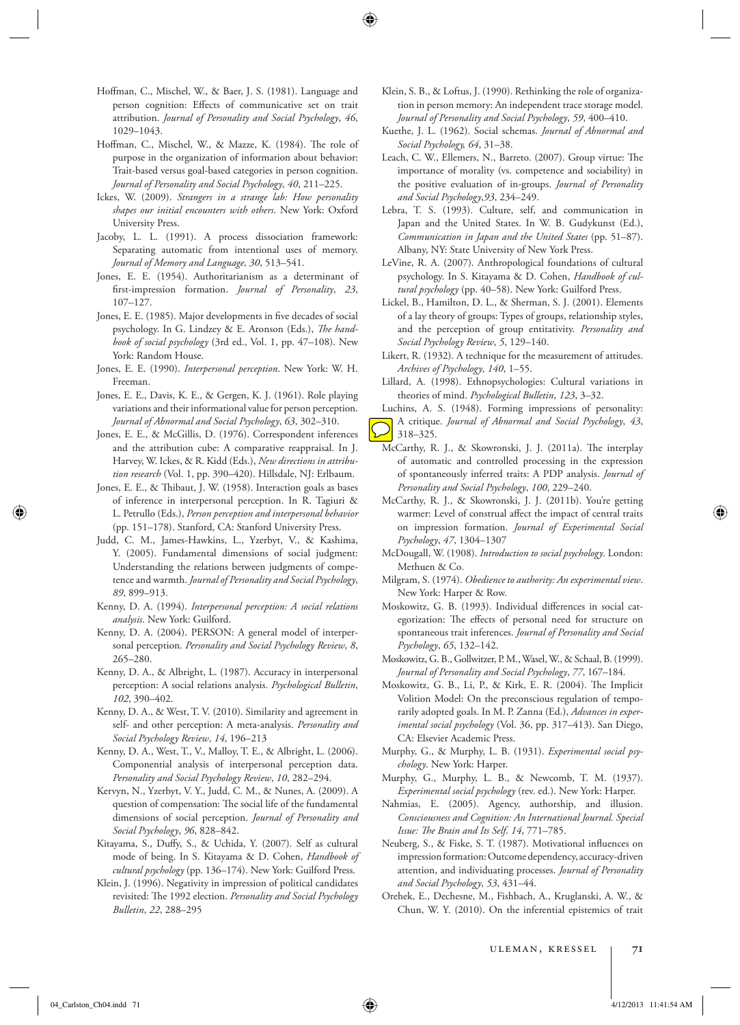- Hoffman, C., Mischel, W., & Baer, J. S. (1981). Language and person cognition: Effects of communicative set on trait attribution . *Journal of Personality and Social Psychology* , *46* , 1029–1043 .
- Hoffman, C., Mischel, W., & Mazze, K. (1984). The role of purpose in the organization of information about behavior: Trait-based versus goal-based categories in person cognition . *Journal of Personality and Social Psychology* , *40* , 211–225 .
- Ickes, W. (2009). *Strangers in a strange lab: How personality*  shapes our initial encounters with others. New York: Oxford University Press.
- Jacoby, L. L. (1991). A process dissociation framework: Separating automatic from intentional uses of memory. *Journal of Memory and Language* , *30* , 513–541 .
- Jones, E. E. (1954). Authoritarianism as a determinant of first-impression formation. *Journal of Personality*, 23, 107–127 .
- Jones, E. E. (1985). Major developments in five decades of social psychology. In G. Lindzey & E. Aronson (Eds.), *The hand*book of social psychology (3rd ed., Vol. 1, pp. 47-108). New York: Random House.
- Jones, E. E. (1990). *Interpersonal perception*. New York: W. H. Freeman .
- Jones, E. E., Davis, K. E., & Gergen, K. J. (1961). Role playing variations and their informational value for person perception . *Journal of Abnormal and Social Psychology* , *63* , 302–310 .
- Jones, E. E., & McGillis, D. (1976). Correspondent inferences and the attribution cube: A comparative reappraisal. In J. Harvey, W. Ickes, & R. Kidd (Eds.), *New directions in attribu*tion research (Vol. 1, pp. 390-420). Hillsdale, NJ: Erlbaum.
- Jones, E. E., & Thibaut, J. W. (1958). Interaction goals as bases of inference in interpersonal perception. In R. Tagiuri & L. Petrullo (Eds.), *Person perception and interpersonal behavior* (pp. 151-178). Stanford, CA: Stanford University Press.
- Judd, C. M., James-Hawkins, L., Yzerbyt, V., & Kashima, Y. (2005). Fundamental dimensions of social judgment: Understanding the relations between judgments of competence and warmth. *Journal of Personality and Social Psychology*, *89* , 899–913 .
- Kenny, D. A. (1994). *Interpersonal perception: A social relations*  analysis. New York: Guilford.
- Kenny, D. A. (2004). PERSON: A general model of interpersonal perception. Personality and Social Psychology Review, 8, 265–280 .
- Kenny, D. A., & Albright, L. (1987). Accuracy in interpersonal perception: A social relations analysis. *Psychological Bulletin*, *102*, 390–402.
- Kenny, D. A., & West, T. V. (2010). Similarity and agreement in self- and other perception: A meta-analysis . *Personality and Social Psychology Review* , *14* , 196–213
- Kenny, D. A., West, T., V., Malloy, T. E., & Albright, L. (2006). Componential analysis of interpersonal perception data . *Personality and Social Psychology Review* , *10* , 282–294 .
- Kervyn, N., Yzerbyt, V. Y., Judd, C. M., & Nunes, A. (2009). A question of compensation: The social life of the fundamental dimensions of social perception . *Journal of Personality and Social Psychology* , *96* , 828–842 .
- Kitayama, S., Duffy, S., & Uchida, Y. (2007). Self as cultural mode of being. In S. Kitayama & D. Cohen, *Handbook of*  cultural psychology (pp. 136-174). New York: Guilford Press.
- Klein, J. (1996). Negativity in impression of political candidates revisited: The 1992 election. *Personality and Social Psychology Bulletin* , *22* , 288–295
- Klein, S. B., & Loftus, J. (1990). Rethinking the role of organization in person memory: An independent trace storage model. *Journal of Personality and Social Psychology* , *59* , 400–410 .
- Kuethe, J. L. (1962). Social schemas . *Journal of Abnormal and Social Psychology, 64* , 31–38 .
- Leach, C. W., Ellemers, N., Barreto. (2007). Group virtue: The importance of morality (vs. competence and sociability) in the positive evaluation of in-groups . *Journal of Personality and Social Psychology* , *93* , 234–249 .
- Lebra, T. S. (1993). Culture, self, and communication in Japan and the United States. In W. B. Gudykunst (Ed.), *Communication in Japan and the United States* (pp. 51–87 ). Albany, NY: State University of New York Press.
- LeVine, R. A. (2007). Anthropological foundations of cultural psychology. In S. Kitayama & D. Cohen, *Handbook of cul*tural psychology (pp. 40-58). New York: Guilford Press.
- Lickel, B., Hamilton, D. L., & Sherman, S. J. (2001). Elements of a lay theory of groups: Types of groups, relationship styles, and the perception of group entitativity . *Personality and Social Psychology Review* , *5* , 129–140 .
- Likert, R. (1932). A technique for the measurement of attitudes. *Archives of Psychology* , *140* , 1–55 .
- Lillard, A. (1998). Ethnopsychologies: Cultural variations in theories of mind. *Psychological Bulletin*, 123, 3-32.
- Luchins, A. S. (1948). Forming impressions of personality: A critique . *Journal of Abnormal and Social Psychology* , *43* , 318–325 .
- McCarthy, R. J., & Skowronski, J. J. (2011a). The interplay of automatic and controlled processing in the expression of spontaneously inferred traits: A PDP analysis . *Journal of Personality and Social Psychology* , *100* , 229–240 .
- McCarthy, R. J., & Skowronski, J. J. (2011b). You're getting warmer: Level of construal affect the impact of central traits on impression formation . *Journal of Experimental Social Psychology* , *47* , 1304–1307
- McDougall, W. (1908). *Introduction to social psychology*. London: Methuen & Co.
- Milgram, S. (1974). *Obedience to authority: An experimental view* . New York: Harper & Row.
- Moskowitz, G. B. (1993). Individual differences in social categorization: The effects of personal need for structure on spontaneous trait inferences . *Journal of Personality and Social Psychology* , *65* , 132–142 .
- Moskowitz, G. B., Gollwitzer, P. M., Wasel, W., & Schaal, B. (1999). *Journal of Personality and Social Psychology* , *77* , 167–184 .
- Moskowitz, G. B., Li, P., & Kirk, E. R. (2004). The Implicit Volition Model: On the preconscious regulation of temporarily adopted goals. In M. P. Zanna (Ed.), *Advances in exper*imental social psychology (Vol. 36, pp. 317-413). San Diego, CA: Elsevier Academic Press.
- Murphy, G., & Murphy, L. B. (1931). *Experimental social psychology*. New York: Harper.
- Murphy, G., Murphy, L. B., & Newcomb, T. M. (1937). Experimental social psychology (rev. ed.). New York: Harper.
- Nahmias, E. (2005). Agency, authorship, and illusion. *Consciousness and Cognition: An International Journal. Special Issue: The Brain and Its Self. 14, 771-785.*
- Neuberg, S., & Fiske, S. T. (1987). Motivational influences on impression formation: Outcome dependency, accuracy-driven attention, and individuating processes . *Journal of Personality and Social Psychology* , *53* , 431–44 .
- Orehek, E., Dechesne, M., Fishbach, A., Kruglanski, A. W., & Chun, W. Y. (2010). On the inferential epistemics of trait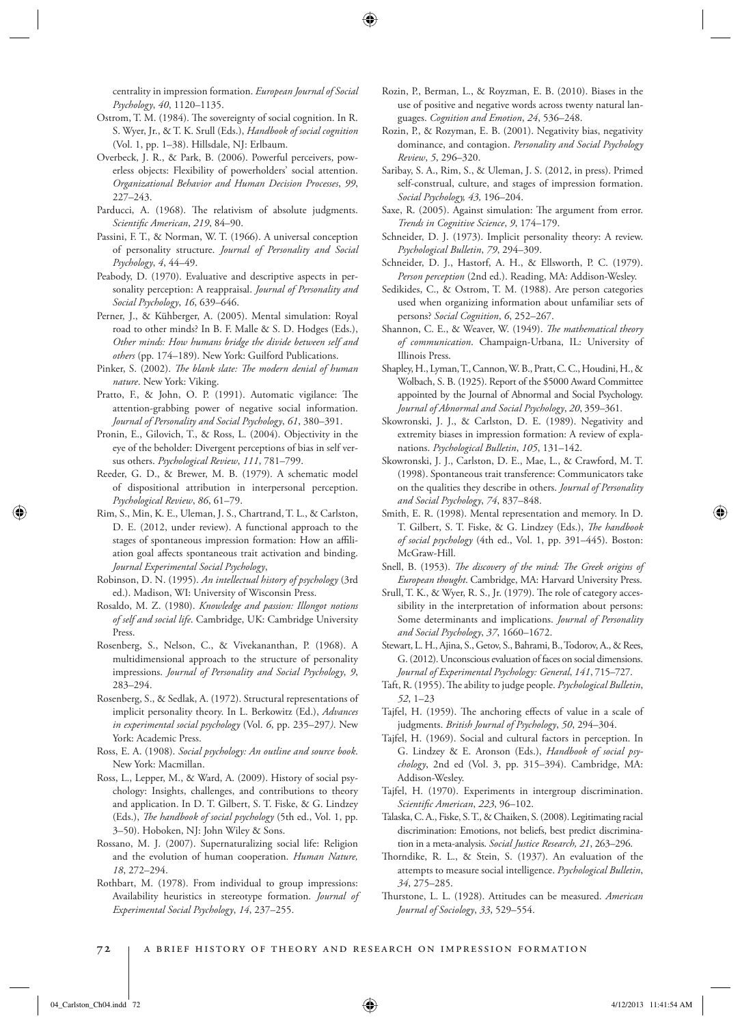centrality in impression formation . *European Journal of Social Psychology* , *40* , 1120–1135 .

- Ostrom, T. M. (1984). The sovereignty of social cognition. In R. S. Wyer, Jr., & T. K. Srull (Eds.), *Handbook of social cognition* (Vol. 1, pp. 1-38). Hillsdale, NJ: Erlbaum.
- Overbeck, J. R., & Park, B. (2006). Powerful perceivers, powerless objects: Flexibility of powerholders' social attention. *Organizational Behavior and Human Decision Processes* , *99* , 227–243 .
- Parducci, A. (1968). The relativism of absolute judgments. *Scientifi c American* , *219* , 84–90 .
- Passini, F. T., & Norman, W. T. (1966). A universal conception of personality structure . *Journal of Personality and Social Psychology* , *4* , 44–49 .
- Peabody, D. (1970). Evaluative and descriptive aspects in personality perception: A reappraisal. *Journal of Personality and Social Psychology* , *16* , 639–646 .
- Perner, J., & Kühberger, A. (2005). Mental simulation: Royal road to other minds? In B. F. Malle & S. D. Hodges (Eds.), *Other minds: How humans bridge the divide between self and*  others (pp. 174-189). New York: Guilford Publications.
- Pinker, S. (2002). *The blank slate: The modern denial of human* nature. New York: Viking.
- Pratto, F., & John, O. P. (1991). Automatic vigilance: The attention-grabbing power of negative social information. *Journal of Personality and Social Psychology* , *61* , 380–391 .
- Pronin, E., Gilovich, T., & Ross, L. (2004). Objectivity in the eye of the beholder: Divergent perceptions of bias in self versus others. Psychological Review, 111, 781-799.
- Reeder, G. D., & Brewer, M. B. (1979). A schematic model of dispositional attribution in interpersonal perception. *Psychological Review* , *86* , 61–79 .
- Rim, S., Min, K. E., Uleman, J. S., Chartrand, T. L., & Carlston, D. E. (2012, under review). A functional approach to the stages of spontaneous impression formation: How an affiliation goal affects spontaneous trait activation and binding. *Journal Experimental Social Psychology* ,
- Robinson, D. N. (1995). *An intellectual history of psychology* (3rd ed.). Madison, WI: University of Wisconsin Press .
- Rosaldo, M. Z. (1980). *Knowledge and passion: Illongot notions of self and social life* . Cambridge, UK : Cambridge University Press.
- Rosenberg, S., Nelson, C., & Vivekananthan, P. (1968). A multidimensional approach to the structure of personality impressions. *Journal of Personality and Social Psychology*, 9, 283–294 .
- Rosenberg, S., & Sedlak, A. (1972). Structural representations of implicit personality theory. In L. Berkowitz (Ed.), *Advances in experimental social psychology* (Vol. *6* , pp. 235–297 *)* . New York: Academic Press.
- Ross, E. A. (1908). *Social psychology: An outline and source book* . New York: Macmillan.
- Ross, L., Lepper, M., & Ward, A. (2009). History of social psychology: Insights, challenges, and contributions to theory and application. In D. T. Gilbert, S. T. Fiske, & G. Lindzey (Eds.), *The handbook of social psychology* (5th ed., Vol. 1, pp. 3-50). Hoboken, NJ: John Wiley & Sons.
- Rossano, M. J. (2007). Supernaturalizing social life: Religion and the evolution of human cooperation . *Human Nature, 18* , 272–294 .
- Rothbart, M. (1978). From individual to group impressions: Availability heuristics in stereotype formation . *Journal of Experimental Social Psychology* , *14* , 237–255 .
- Rozin, P., Berman, L., & Royzman, E. B. (2010). Biases in the use of positive and negative words across twenty natural languages . *Cognition and Emotion* , *24* , 536–248 .
- Rozin, P., & Rozyman, E. B. (2001). Negativity bias, negativity dominance, and contagion . *Personality and Social Psychology Review* , *5* , 296–320 .
- Saribay, S. A., Rim, S., & Uleman, J. S. (2012, in press). Primed self-construal, culture, and stages of impression formation. *Social Psychology, 43,* 196–204.
- Saxe, R. (2005). Against simulation: The argument from error. *Trends in Cognitive Science* , *9* , 174–179 .
- Schneider, D. J. (1973). Implicit personality theory: A review. *Psychological Bulletin* , *79* , 294–309 .
- Schneider, D. J., Hastorf, A. H., & Ellsworth, P. C. (1979). Person perception (2nd ed.). Reading, MA: Addison-Wesley.
- Sedikides, C., & Ostrom, T. M. (1988). Are person categories used when organizing information about unfamiliar sets of persons? *Social Cognition*, 6, 252-267.
- Shannon, C. E., & Weaver, W. (1949). *The mathematical theory of communication* . Champaign-Urbana, IL: University of Illinois Press.
- Shapley, H., Lyman, T., Cannon, W. B., Pratt, C. C., Houdini, H., & Wolbach, S. B. (1925). Report of the \$5000 Award Committee appointed by the Journal of Abnormal and Social Psychology. *Journal of Abnormal and Social Psychology* , *20* , 359–361 .
- Skowronski, J. J., & Carlston, D. E. (1989). Negativity and extremity biases in impression formation: A review of explanations. Psychological Bulletin, 105, 131-142.
- Skowronski, J. J., Carlston, D. E., Mae, L., & Crawford, M. T. (1998). Spontaneous trait transference: Communicators take on the qualities they describe in others . *Journal of Personality and Social Psychology* , *74* , 837–848 .
- Smith, E. R. (1998). Mental representation and memory. In D. T. Gilbert, S. T. Fiske, & G. Lindzey (Eds.), *The handbook* of social psychology (4th ed., Vol. 1, pp. 391-445). Boston: McGraw-Hill.
- Snell, B. (1953). *The discovery of the mind: The Greek origins of* European thought. Cambridge, MA: Harvard University Press.
- Srull, T. K., & Wyer, R. S., Jr. (1979). The role of category accessibility in the interpretation of information about persons: Some determinants and implications . *Journal of Personality and Social Psychology* , *37* , 1660–1672 .
- Stewart, L. H., Ajina, S., Getov, S., Bahrami, B., Todorov, A., & Rees, G. (2012). Unconscious evaluation of faces on social dimensions . *Journal of Experimental Psychology: General* , *141* , 715–727.
- Taft, R. (1955). The ability to judge people. Psychological Bulletin, *52* , 1–23
- Tajfel, H. (1959). The anchoring effects of value in a scale of judgments. *British Journal of Psychology*, 50, 294-304.
- Tajfel, H. (1969). Social and cultural factors in perception. In G. Lindzey & E. Aronson (Eds.), *Handbook of social psychology*, 2nd ed (Vol. 3, pp. 315-394). Cambridge, MA: Addison-Wesley.
- Tajfel, H. (1970). Experiments in intergroup discrimination. *Scientifi c American* , *223* , 96–102 .
- Talaska, C. A., Fiske, S. T., & Chaiken, S. (2008). Legitimating racial discrimination: Emotions, not beliefs, best predict discrimination in a meta-analysis. *Social Justice Research*, 21, 263-296.
- Thorndike, R. L., & Stein, S. (1937). An evaluation of the attempts to measure social intelligence . *Psychological Bulletin* , *34* , 275–285 .
- Thurstone, L. L. (1928). Attitudes can be measured. American *Journal of Sociology* , *33* , 529–554 .